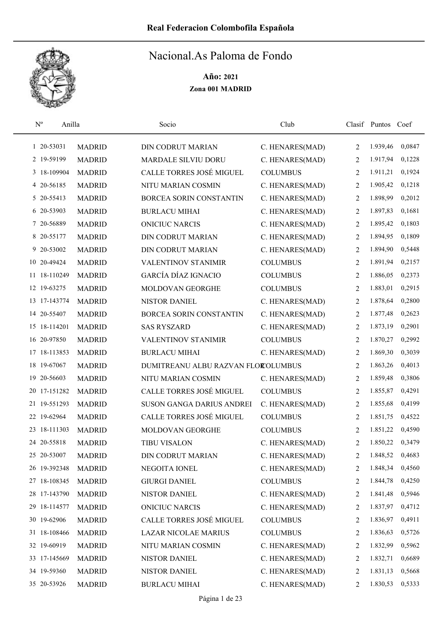

| $N^{\rm o}$  | Anilla        | Socio                              | Club            |   | Clasif Puntos | Coef   |
|--------------|---------------|------------------------------------|-----------------|---|---------------|--------|
| 1 20-53031   | <b>MADRID</b> | <b>DIN CODRUT MARIAN</b>           | C. HENARES(MAD) | 2 | 1.939,46      | 0,0847 |
| 2 19-59199   | <b>MADRID</b> | <b>MARDALE SILVIU DORU</b>         | C. HENARES(MAD) | 2 | 1.917,94      | 0,1228 |
| 3 18-109904  | <b>MADRID</b> | CALLE TORRES JOSÉ MIGUEL           | <b>COLUMBUS</b> | 2 | 1.911,21      | 0,1924 |
| 4 20-56185   | <b>MADRID</b> | NITU MARIAN COSMIN                 | C. HENARES(MAD) | 2 | 1.905,42      | 0,1218 |
| 5 20-55413   | <b>MADRID</b> | BORCEA SORIN CONSTANTIN            | C. HENARES(MAD) | 2 | 1.898,99      | 0,2012 |
| 6 20-53903   | <b>MADRID</b> | <b>BURLACU MIHAI</b>               | C. HENARES(MAD) | 2 | 1.897,83      | 0,1681 |
| 7 20-56889   | <b>MADRID</b> | <b>ONICIUC NARCIS</b>              | C. HENARES(MAD) | 2 | 1.895,42      | 0,1803 |
| 8 20-55177   | <b>MADRID</b> | <b>DIN CODRUT MARIAN</b>           | C. HENARES(MAD) | 2 | 1.894,95      | 0,1809 |
| 9 20-53002   | <b>MADRID</b> | <b>DIN CODRUT MARIAN</b>           | C. HENARES(MAD) | 2 | 1.894,90      | 0,5448 |
| 10 20-49424  | <b>MADRID</b> | VALENTINOV STANIMIR                | <b>COLUMBUS</b> | 2 | 1.891,94      | 0,2157 |
| 11 18-110249 | <b>MADRID</b> | GARCÍA DÍAZ IGNACIO                | <b>COLUMBUS</b> | 2 | 1.886,05      | 0,2373 |
| 12 19-63275  | <b>MADRID</b> | MOLDOVAN GEORGHE                   | <b>COLUMBUS</b> | 2 | 1.883,01      | 0,2915 |
| 13 17-143774 | <b>MADRID</b> | NISTOR DANIEL                      | C. HENARES(MAD) | 2 | 1.878,64      | 0,2800 |
| 14 20-55407  | <b>MADRID</b> | BORCEA SORIN CONSTANTIN            | C. HENARES(MAD) | 2 | 1.877,48      | 0,2623 |
| 15 18-114201 | <b>MADRID</b> | <b>SAS RYSZARD</b>                 | C. HENARES(MAD) | 2 | 1.873,19      | 0,2901 |
| 16 20-97850  | <b>MADRID</b> | VALENTINOV STANIMIR                | <b>COLUMBUS</b> | 2 | 1.870,27      | 0,2992 |
| 17 18-113853 | <b>MADRID</b> | <b>BURLACU MIHAI</b>               | C. HENARES(MAD) | 2 | 1.869,30      | 0,3039 |
| 18 19-67067  | <b>MADRID</b> | DUMITREANU ALBU RAZVAN FLOROLUMBUS |                 | 2 | 1.863,26      | 0,4013 |
| 19 20-56603  | <b>MADRID</b> | NITU MARIAN COSMIN                 | C. HENARES(MAD) | 2 | 1.859,48      | 0,3806 |
| 20 17-151282 | <b>MADRID</b> | CALLE TORRES JOSÉ MIGUEL           | <b>COLUMBUS</b> | 2 | 1.855,87      | 0,4291 |
| 21 19-551293 | <b>MADRID</b> | SUSON GANGA DARIUS ANDREI          | C. HENARES(MAD) | 2 | 1.855,68      | 0,4199 |
| 22 19-62964  | <b>MADRID</b> | CALLE TORRES JOSÉ MIGUEL           | <b>COLUMBUS</b> | 2 | 1.851,75      | 0,4522 |
| 23 18-111303 | <b>MADRID</b> | MOLDOVAN GEORGHE                   | <b>COLUMBUS</b> | 2 | 1.851,22      | 0,4590 |
| 24 20-55818  | <b>MADRID</b> | <b>TIBU VISALON</b>                | C. HENARES(MAD) | 2 | 1.850,22      | 0,3479 |
| 25 20-53007  | <b>MADRID</b> | <b>DIN CODRUT MARIAN</b>           | C. HENARES(MAD) | 2 | 1.848,52      | 0,4683 |
| 26 19-392348 | <b>MADRID</b> | NEGOITA IONEL                      | C. HENARES(MAD) | 2 | 1.848,34      | 0,4560 |
| 27 18-108345 | <b>MADRID</b> | <b>GIURGI DANIEL</b>               | <b>COLUMBUS</b> | 2 | 1.844,78      | 0,4250 |
| 28 17-143790 | <b>MADRID</b> | NISTOR DANIEL                      | C. HENARES(MAD) | 2 | 1.841,48      | 0,5946 |
| 29 18-114577 | <b>MADRID</b> | <b>ONICIUC NARCIS</b>              | C. HENARES(MAD) | 2 | 1.837,97      | 0,4712 |
| 30 19-62906  | <b>MADRID</b> | CALLE TORRES JOSÉ MIGUEL           | <b>COLUMBUS</b> | 2 | 1.836,97      | 0,4911 |
| 31 18-108466 | <b>MADRID</b> | <b>LAZAR NICOLAE MARIUS</b>        | <b>COLUMBUS</b> | 2 | 1.836,63      | 0,5726 |
| 32 19-60919  | <b>MADRID</b> | NITU MARIAN COSMIN                 | C. HENARES(MAD) | 2 | 1.832,99      | 0,5962 |
| 33 17-145669 | <b>MADRID</b> | NISTOR DANIEL                      | C. HENARES(MAD) | 2 | 1.832,71      | 0,6689 |
| 34 19-59360  | <b>MADRID</b> | NISTOR DANIEL                      | C. HENARES(MAD) | 2 | 1.831,13      | 0,5668 |
| 35 20-53926  | <b>MADRID</b> | <b>BURLACU MIHAI</b>               | C. HENARES(MAD) | 2 | 1.830,53      | 0,5333 |
|              |               |                                    |                 |   |               |        |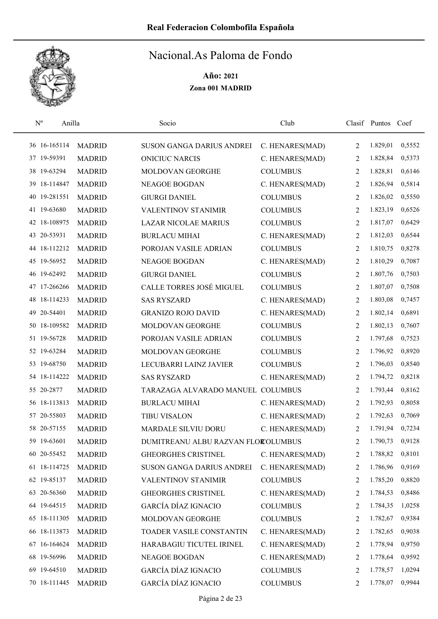

| $N^{\circ}$ | Anilla       |               | Socio                              | Club            |                | Clasif Puntos | Coef   |
|-------------|--------------|---------------|------------------------------------|-----------------|----------------|---------------|--------|
|             | 36 16-165114 | <b>MADRID</b> | SUSON GANGA DARIUS ANDREI          | C. HENARES(MAD) | $\overline{2}$ | 1.829,01      | 0,5552 |
|             | 37 19-59391  | <b>MADRID</b> | <b>ONICIUC NARCIS</b>              | C. HENARES(MAD) | 2              | 1.828,84      | 0,5373 |
|             | 38 19-63294  | <b>MADRID</b> | MOLDOVAN GEORGHE                   | <b>COLUMBUS</b> | 2              | 1.828,81      | 0,6146 |
|             | 39 18-114847 | <b>MADRID</b> | <b>NEAGOE BOGDAN</b>               | C. HENARES(MAD) | 2              | 1.826,94      | 0,5814 |
| 40          | 19-281551    | <b>MADRID</b> | <b>GIURGI DANIEL</b>               | <b>COLUMBUS</b> | 2              | 1.826,02      | 0,5550 |
|             | 41 19-63680  | <b>MADRID</b> | <b>VALENTINOV STANIMIR</b>         | <b>COLUMBUS</b> | 2              | 1.823,19      | 0,6526 |
|             | 42 18-108975 | <b>MADRID</b> | <b>LAZAR NICOLAE MARIUS</b>        | <b>COLUMBUS</b> | 2              | 1.817,07      | 0,6429 |
|             | 43 20-53931  | <b>MADRID</b> | <b>BURLACU MIHAI</b>               | C. HENARES(MAD) | 2              | 1.812,03      | 0,6544 |
|             | 44 18-112212 | <b>MADRID</b> | POROJAN VASILE ADRIAN              | <b>COLUMBUS</b> | 2              | 1.810,75      | 0,8278 |
|             | 45 19-56952  | <b>MADRID</b> | <b>NEAGOE BOGDAN</b>               | C. HENARES(MAD) | 2              | 1.810,29      | 0,7087 |
|             | 46 19-62492  | <b>MADRID</b> | <b>GIURGI DANIEL</b>               | <b>COLUMBUS</b> | 2              | 1.807,76      | 0,7503 |
|             | 47 17-266266 | <b>MADRID</b> | CALLE TORRES JOSÉ MIGUEL           | <b>COLUMBUS</b> | 2              | 1.807,07      | 0,7508 |
|             | 48 18-114233 | <b>MADRID</b> | <b>SAS RYSZARD</b>                 | C. HENARES(MAD) | 2              | 1.803,08      | 0,7457 |
|             | 49 20-54401  | <b>MADRID</b> | <b>GRANIZO ROJO DAVID</b>          | C. HENARES(MAD) | $\overline{2}$ | 1.802,14      | 0,6891 |
|             | 50 18-109582 | <b>MADRID</b> | MOLDOVAN GEORGHE                   | <b>COLUMBUS</b> | 2              | 1.802,13      | 0,7607 |
|             | 51 19-56728  | <b>MADRID</b> | POROJAN VASILE ADRIAN              | <b>COLUMBUS</b> | 2              | 1.797,68      | 0,7523 |
|             | 52 19-63284  | <b>MADRID</b> | MOLDOVAN GEORGHE                   | <b>COLUMBUS</b> | 2              | 1.796,92      | 0,8920 |
|             | 53 19-68750  | <b>MADRID</b> | LECUBARRI LAINZ JAVIER             | <b>COLUMBUS</b> | 2              | 1.796,03      | 0,8540 |
|             | 54 18-114222 | <b>MADRID</b> | <b>SAS RYSZARD</b>                 | C. HENARES(MAD) | 2              | 1.794,72      | 0,8218 |
|             | 55 20-2877   | <b>MADRID</b> | TARAZAGA ALVARADO MANUEL COLUMBUS  |                 | 2              | 1.793,44      | 0,8162 |
|             | 56 18-113813 | <b>MADRID</b> | <b>BURLACU MIHAI</b>               | C. HENARES(MAD) | 2              | 1.792,93      | 0,8058 |
|             | 57 20-55803  | <b>MADRID</b> | <b>TIBU VISALON</b>                | C. HENARES(MAD) | 2              | 1.792,63      | 0,7069 |
|             | 58 20-57155  | <b>MADRID</b> | MARDALE SILVIU DORU                | C. HENARES(MAD) | 2              | 1.791,94      | 0,7234 |
|             | 59 19-63601  | <b>MADRID</b> | DUMITREANU ALBU RAZVAN FLOROLUMBUS |                 | $\overline{2}$ | 1.790,73      | 0,9128 |
|             | 60 20-55452  | <b>MADRID</b> | <b>GHEORGHES CRISTINEL</b>         | C. HENARES(MAD) | 2              | 1.788,82      | 0,8101 |
|             | 61 18-114725 | <b>MADRID</b> | SUSON GANGA DARIUS ANDREI          | C. HENARES(MAD) | 2              | 1.786,96      | 0,9169 |
|             | 62 19-85137  | <b>MADRID</b> | VALENTINOV STANIMIR                | <b>COLUMBUS</b> | 2              | 1.785,20      | 0,8820 |
|             | 63 20-56360  | <b>MADRID</b> | <b>GHEORGHES CRISTINEL</b>         | C. HENARES(MAD) | 2              | 1.784,53      | 0,8486 |
|             | 64 19-64515  | <b>MADRID</b> | <b>GARCÍA DÍAZ IGNACIO</b>         | <b>COLUMBUS</b> | 2              | 1.784,35      | 1,0258 |
|             | 65 18-111305 | <b>MADRID</b> | MOLDOVAN GEORGHE                   | <b>COLUMBUS</b> | 2              | 1.782,67      | 0,9384 |
|             | 66 18-113873 | <b>MADRID</b> | TOADER VASILE CONSTANTIN           | C. HENARES(MAD) | 2              | 1.782,65      | 0,9038 |
|             | 67 16-164624 | <b>MADRID</b> | HARABAGIU TICUTEL IRINEL           | C. HENARES(MAD) | 2              | 1.778,94      | 0,9750 |
|             | 68 19-56996  | <b>MADRID</b> | NEAGOE BOGDAN                      | C. HENARES(MAD) | 2              | 1.778,64      | 0,9592 |
|             | 69 19-64510  | <b>MADRID</b> | <b>GARCÍA DÍAZ IGNACIO</b>         | <b>COLUMBUS</b> | 2              | 1.778,57      | 1,0294 |
|             | 70 18-111445 | <b>MADRID</b> | <b>GARCÍA DÍAZ IGNACIO</b>         | <b>COLUMBUS</b> | 2              | 1.778,07      | 0,9944 |
|             |              |               |                                    |                 |                |               |        |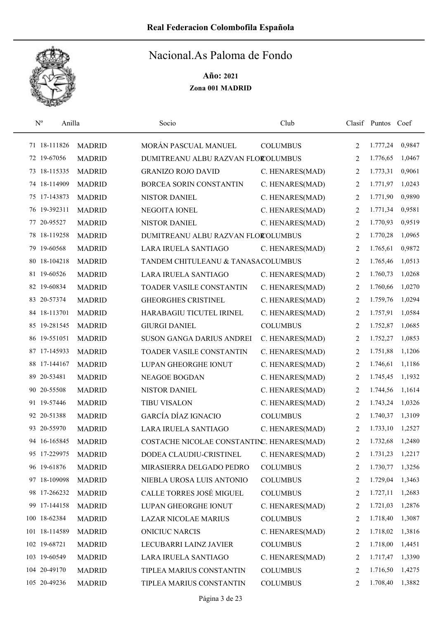

| $\mathbf{N}^{\text{o}}$ | Anilla        |               | Socio                                      | Club            |                | Clasif Puntos | Coef   |
|-------------------------|---------------|---------------|--------------------------------------------|-----------------|----------------|---------------|--------|
|                         | 71 18-111826  | <b>MADRID</b> | MORÁN PASCUAL MANUEL                       | <b>COLUMBUS</b> | 2              | 1.777,24      | 0,9847 |
|                         | 72 19-67056   | <b>MADRID</b> | DUMITREANU ALBU RAZVAN FLOROLUMBUS         |                 | 2              | 1.776,65      | 1,0467 |
|                         | 73 18-115335  | <b>MADRID</b> | <b>GRANIZO ROJO DAVID</b>                  | C. HENARES(MAD) | 2              | 1.773,31      | 0,9061 |
|                         | 74 18-114909  | <b>MADRID</b> | BORCEA SORIN CONSTANTIN                    | C. HENARES(MAD) | 2              | 1.771,97      | 1,0243 |
|                         | 75 17-143873  | <b>MADRID</b> | <b>NISTOR DANIEL</b>                       | C. HENARES(MAD) | 2              | 1.771,90      | 0,9890 |
|                         | 76 19-392311  | <b>MADRID</b> | NEGOITA IONEL                              | C. HENARES(MAD) | 2              | 1.771,34      | 0,9581 |
|                         | 77 20-95527   | <b>MADRID</b> | NISTOR DANIEL                              | C. HENARES(MAD) | 2              | 1.770,93      | 0,9519 |
|                         | 78 18-119258  | <b>MADRID</b> | DUMITREANU ALBU RAZVAN FLOROLUMBUS         |                 | 2              | 1.770,28      | 1,0965 |
|                         | 79 19-60568   | <b>MADRID</b> | LARA IRUELA SANTIAGO                       | C. HENARES(MAD) | 2              | 1.765,61      | 0,9872 |
|                         | 80 18-104218  | <b>MADRID</b> | TANDEM CHITULEANU & TANASACOLUMBUS         |                 | 2              | 1.765,46      | 1,0513 |
|                         | 81 19-60526   | <b>MADRID</b> | LARA IRUELA SANTIAGO                       | C. HENARES(MAD) | 2              | 1.760,73      | 1,0268 |
|                         | 82 19-60834   | <b>MADRID</b> | TOADER VASILE CONSTANTIN                   | C. HENARES(MAD) | 2              | 1.760,66      | 1,0270 |
|                         | 83 20-57374   | <b>MADRID</b> | <b>GHEORGHES CRISTINEL</b>                 | C. HENARES(MAD) | 2              | 1.759,76      | 1,0294 |
|                         | 84 18-113701  | <b>MADRID</b> | HARABAGIU TICUTEL IRINEL                   | C. HENARES(MAD) | 2              | 1.757,91      | 1,0584 |
|                         | 85 19-281545  | <b>MADRID</b> | <b>GIURGI DANIEL</b>                       | <b>COLUMBUS</b> | $\overline{2}$ | 1.752,87      | 1,0685 |
|                         | 86 19-551051  | <b>MADRID</b> | SUSON GANGA DARIUS ANDREI                  | C. HENARES(MAD) | 2              | 1.752,27      | 1,0853 |
|                         | 87 17-145933  | <b>MADRID</b> | TOADER VASILE CONSTANTIN                   | C. HENARES(MAD) | 2              | 1.751,88      | 1,1206 |
|                         | 88 17-144167  | <b>MADRID</b> | LUPAN GHEORGHE IONUT                       | C. HENARES(MAD) | 2              | 1.746,61      | 1,1186 |
|                         | 89 20-53481   | <b>MADRID</b> | NEAGOE BOGDAN                              | C. HENARES(MAD) | 2              | 1.745,45      | 1,1932 |
|                         | 90 20-55508   | <b>MADRID</b> | NISTOR DANIEL                              | C. HENARES(MAD) | 2              | 1.744,56      | 1,1614 |
|                         | 91 19-57446   | <b>MADRID</b> | <b>TIBU VISALON</b>                        | C. HENARES(MAD) | $\overline{2}$ | 1.743,24      | 1,0326 |
|                         | 92 20-51388   | <b>MADRID</b> | <b>GARCÍA DÍAZ IGNACIO</b>                 | <b>COLUMBUS</b> | 2              | 1.740,37      | 1,3109 |
|                         | 93 20-55970   | <b>MADRID</b> | LARA IRUELA SANTIAGO                       | C. HENARES(MAD) | 2              | 1.733,10      | 1,2527 |
|                         | 94 16-165845  | <b>MADRID</b> | COSTACHE NICOLAE CONSTANTINC. HENARES(MAD) |                 | 2              | 1.732,68      | 1,2480 |
|                         | 95 17-229975  | <b>MADRID</b> | DODEA CLAUDIU-CRISTINEL                    | C. HENARES(MAD) | 2              | 1.731,23      | 1,2217 |
|                         | 96 19-61876   | <b>MADRID</b> | MIRASIERRA DELGADO PEDRO                   | <b>COLUMBUS</b> | 2              | 1.730,77      | 1,3256 |
|                         | 97 18-109098  | <b>MADRID</b> | NIEBLA UROSA LUIS ANTONIO                  | <b>COLUMBUS</b> | 2              | 1.729,04      | 1,3463 |
|                         | 98 17-266232  | <b>MADRID</b> | CALLE TORRES JOSÉ MIGUEL                   | <b>COLUMBUS</b> | 2              | 1.727,11      | 1,2683 |
|                         | 99 17-144158  | <b>MADRID</b> | LUPAN GHEORGHE IONUT                       | C. HENARES(MAD) | 2              | 1.721,03      | 1,2876 |
|                         | 100 18-62384  | <b>MADRID</b> | LAZAR NICOLAE MARIUS                       | <b>COLUMBUS</b> | 2              | 1.718,40      | 1,3087 |
|                         | 101 18-114589 | <b>MADRID</b> | <b>ONICIUC NARCIS</b>                      | C. HENARES(MAD) | 2              | 1.718,02      | 1,3816 |
|                         | 102 19-68721  | <b>MADRID</b> | LECUBARRI LAINZ JAVIER                     | <b>COLUMBUS</b> | 2              | 1.718,00      | 1,4451 |
|                         | 103 19-60549  | <b>MADRID</b> | LARA IRUELA SANTIAGO                       | C. HENARES(MAD) | 2              | 1.717,47      | 1,3390 |
|                         | 104 20-49170  | <b>MADRID</b> | TIPLEA MARIUS CONSTANTIN                   | <b>COLUMBUS</b> | 2              | 1.716,50      | 1,4275 |
|                         | 105 20-49236  | <b>MADRID</b> | TIPLEA MARIUS CONSTANTIN                   | <b>COLUMBUS</b> | 2              | 1.708,40      | 1,3882 |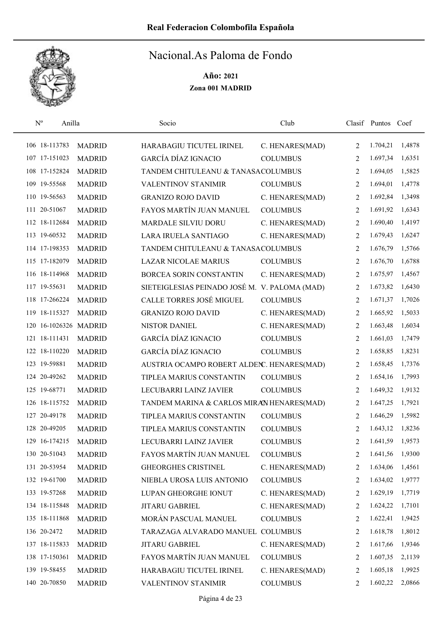

| $N^{o}$ | Anilla                |               | Socio                                     | Club            |                | Clasif Puntos Coef |        |
|---------|-----------------------|---------------|-------------------------------------------|-----------------|----------------|--------------------|--------|
|         | 106 18-113783         | <b>MADRID</b> | HARABAGIU TICUTEL IRINEL                  | C. HENARES(MAD) | $\overline{2}$ | 1.704,21           | 1,4878 |
|         | 107 17-151023         | <b>MADRID</b> | <b>GARCÍA DÍAZ IGNACIO</b>                | <b>COLUMBUS</b> | $\overline{2}$ | 1.697,34           | 1,6351 |
|         | 108 17-152824         | <b>MADRID</b> | TANDEM CHITULEANU & TANASACOLUMBUS        |                 | 2              | 1.694,05           | 1,5825 |
|         | 109 19-55568          | <b>MADRID</b> | VALENTINOV STANIMIR                       | <b>COLUMBUS</b> | 2              | 1.694,01           | 1,4778 |
|         | 110 19-56563          | <b>MADRID</b> | <b>GRANIZO ROJO DAVID</b>                 | C. HENARES(MAD) | $\overline{2}$ | 1.692,84           | 1,3498 |
|         | 111 20-51067          | <b>MADRID</b> | FAYOS MARTÍN JUAN MANUEL                  | <b>COLUMBUS</b> | 2              | 1.691,92           | 1,6343 |
|         | 112 18-112684         | <b>MADRID</b> | MARDALE SILVIU DORU                       | C. HENARES(MAD) | 2              | 1.690,40           | 1,4197 |
|         | 113 19-60532          | <b>MADRID</b> | LARA IRUELA SANTIAGO                      | C. HENARES(MAD) | 2              | 1.679,43           | 1,6247 |
|         | 114 17-198353         | <b>MADRID</b> | TANDEM CHITULEANU & TANASACOLUMBUS        |                 | 2              | 1.676,79           | 1,5766 |
|         | 115 17-182079         | <b>MADRID</b> | <b>LAZAR NICOLAE MARIUS</b>               | <b>COLUMBUS</b> | 2              | 1.676,70           | 1,6788 |
|         | 116 18-114968         | <b>MADRID</b> | <b>BORCEA SORIN CONSTANTIN</b>            | C. HENARES(MAD) | 2              | 1.675,97           | 1,4567 |
|         | 117 19-55631          | <b>MADRID</b> | SIETEIGLESIAS PEINADO JOSÉ M.             | V. PALOMA (MAD) | 2              | 1.673,82           | 1,6430 |
|         | 118 17-266224         | <b>MADRID</b> | <b>CALLE TORRES JOSÉ MIGUEL</b>           | <b>COLUMBUS</b> | 2              | 1.671,37           | 1,7026 |
|         | 119 18-115327         | <b>MADRID</b> | <b>GRANIZO ROJO DAVID</b>                 | C. HENARES(MAD) | $\overline{2}$ | 1.665,92           | 1,5033 |
|         | 120 16-1026326 MADRID |               | <b>NISTOR DANIEL</b>                      | C. HENARES(MAD) | 2              | 1.663,48           | 1,6034 |
|         | 121 18-111431         | <b>MADRID</b> | <b>GARCÍA DÍAZ IGNACIO</b>                | <b>COLUMBUS</b> | 2              | 1.661,03           | 1,7479 |
|         | 122 18-110220         | <b>MADRID</b> | <b>GARCÍA DÍAZ IGNACIO</b>                | <b>COLUMBUS</b> | 2              | 1.658,85           | 1,8231 |
|         | 123 19-59881          | <b>MADRID</b> | AUSTRIA OCAMPO ROBERT ALDEN. HENARES(MAD) |                 | 2              | 1.658,45           | 1,7376 |
|         | 124 20-49262          | <b>MADRID</b> | TIPLEA MARIUS CONSTANTIN                  | <b>COLUMBUS</b> | 2              | 1.654,16           | 1,7993 |
|         | 125 19-68771          | <b>MADRID</b> | LECUBARRI LAINZ JAVIER                    | <b>COLUMBUS</b> | 2              | 1.649,32           | 1,9132 |
|         | 126 18-115752         | <b>MADRID</b> | TANDEM MARINA & CARLOS MIRAN HENARES(MAD) |                 | $\overline{2}$ | 1.647,25           | 1,7921 |
|         | 127 20-49178          | <b>MADRID</b> | TIPLEA MARIUS CONSTANTIN                  | <b>COLUMBUS</b> | 2              | 1.646,29           | 1,5982 |
|         | 128 20-49205          | <b>MADRID</b> | TIPLEA MARIUS CONSTANTIN                  | <b>COLUMBUS</b> | 2              | 1.643,12           | 1,8236 |
|         | 129 16-174215         | <b>MADRID</b> | LECUBARRI LAINZ JAVIER                    | <b>COLUMBUS</b> | $\overline{2}$ | 1.641,59           | 1,9573 |
|         | 130 20-51043          | <b>MADRID</b> | FAYOS MARTÍN JUAN MANUEL                  | <b>COLUMBUS</b> | 2              | 1.641,56           | 1,9300 |
|         | 131 20-53954          | <b>MADRID</b> | <b>GHEORGHES CRISTINEL</b>                | C. HENARES(MAD) | 2              | 1.634,06           | 1,4561 |
|         | 132 19-61700          | <b>MADRID</b> | NIEBLA UROSA LUIS ANTONIO                 | <b>COLUMBUS</b> | 2              | 1.634,02           | 1,9777 |
|         | 133 19-57268          | <b>MADRID</b> | LUPAN GHEORGHE IONUT                      | C. HENARES(MAD) | 2              | 1.629,19           | 1,7719 |
|         | 134 18-115848         | <b>MADRID</b> | JITARU GABRIEL                            | C. HENARES(MAD) | 2              | 1.624,22           | 1,7101 |
|         | 135 18-111868         | <b>MADRID</b> | MORÁN PASCUAL MANUEL                      | <b>COLUMBUS</b> | 2              | 1.622,41           | 1,9425 |
|         | 136 20-2472           | <b>MADRID</b> | TARAZAGA ALVARADO MANUEL COLUMBUS         |                 | 2              | 1.618,78           | 1,8012 |
|         | 137 18-115833         | <b>MADRID</b> | JITARU GABRIEL                            | C. HENARES(MAD) | 2              | 1.617,66           | 1,9346 |
|         | 138 17-150361         | <b>MADRID</b> | FAYOS MARTÍN JUAN MANUEL                  | <b>COLUMBUS</b> | 2              | 1.607,35           | 2,1139 |
|         | 139 19-58455          | <b>MADRID</b> | HARABAGIU TICUTEL IRINEL                  | C. HENARES(MAD) | 2              | 1.605,18           | 1,9925 |
|         | 140 20-70850          | <b>MADRID</b> | VALENTINOV STANIMIR                       | <b>COLUMBUS</b> | 2              | 1.602,22           | 2,0866 |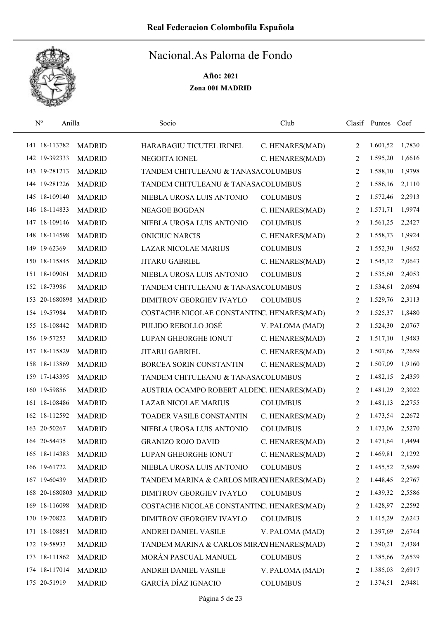

| $\mathbf{N}^{\text{o}}$ | Anilla                |                       | Socio                                      | Club            |                | Clasif Puntos Coef |        |
|-------------------------|-----------------------|-----------------------|--------------------------------------------|-----------------|----------------|--------------------|--------|
|                         | 141 18-113782         | <b>MADRID</b>         | HARABAGIU TICUTEL IRINEL                   | C. HENARES(MAD) | 2              | 1.601,52           | 1,7830 |
|                         | 142 19-392333         | <b>MADRID</b>         | NEGOITA IONEL                              | C. HENARES(MAD) | 2              | 1.595,20           | 1,6616 |
|                         | 143 19-281213         | <b>MADRID</b>         | TANDEM CHITULEANU & TANASACOLUMBUS         |                 | 2              | 1.588,10           | 1,9798 |
|                         | 144 19-281226         | <b>MADRID</b>         | TANDEM CHITULEANU & TANASACOLUMBUS         |                 | 2              | 1.586,16           | 2,1110 |
|                         | 145 18-109140         | <b>MADRID</b>         | NIEBLA UROSA LUIS ANTONIO                  | <b>COLUMBUS</b> | 2              | 1.572,46           | 2,2913 |
|                         | 146 18-114833         | <b>MADRID</b>         | <b>NEAGOE BOGDAN</b>                       | C. HENARES(MAD) | 2              | 1.571,71           | 1,9974 |
|                         | 147 18-109146         | <b>MADRID</b>         | NIEBLA UROSA LUIS ANTONIO                  | <b>COLUMBUS</b> | 2              | 1.561,25           | 2,2427 |
|                         | 148 18-114598         | <b>MADRID</b>         | <b>ONICIUC NARCIS</b>                      | C. HENARES(MAD) | 2              | 1.558,73           | 1,9924 |
|                         | 149 19-62369          | <b>MADRID</b>         | <b>LAZAR NICOLAE MARIUS</b>                | <b>COLUMBUS</b> | 2              | 1.552,30           | 1,9652 |
|                         | 150 18-115845         | <b>MADRID</b>         | <b>JITARU GABRIEL</b>                      | C. HENARES(MAD) | 2              | 1.545,12           | 2,0643 |
|                         | 151 18-109061         | <b>MADRID</b>         | NIEBLA UROSA LUIS ANTONIO                  | <b>COLUMBUS</b> | 2              | 1.535,60           | 2,4053 |
|                         | 152 18-73986          | <b>MADRID</b>         | TANDEM CHITULEANU & TANASACOLUMBUS         |                 | 2              | 1.534,61           | 2,0694 |
|                         | 153 20-1680898 MADRID |                       | DIMITROV GEORGIEV IVAYLO                   | <b>COLUMBUS</b> | 2              | 1.529,76           | 2,3113 |
|                         | 154 19-57984          | <b>MADRID</b>         | COSTACHE NICOLAE CONSTANTINC. HENARES(MAD) |                 | 2              | 1.525,37           | 1,8480 |
|                         | 155 18-108442         | <b>MADRID</b>         | PULIDO REBOLLO JOSÉ                        | V. PALOMA (MAD) | 2              | 1.524,30           | 2,0767 |
|                         | 156 19-57253          | <b>MADRID</b>         | LUPAN GHEORGHE IONUT                       | C. HENARES(MAD) | 2              | 1.517,10           | 1,9483 |
|                         | 157 18-115829         | <b>MADRID</b>         | <b>JITARU GABRIEL</b>                      | C. HENARES(MAD) | 2              | 1.507,66           | 2,2659 |
|                         | 158 18-113869         | <b>MADRID</b>         | BORCEA SORIN CONSTANTIN                    | C. HENARES(MAD) | 2              | 1.507,09           | 1,9160 |
|                         | 159 17-143395         | <b>MADRID</b>         | TANDEM CHITULEANU & TANASACOLUMBUS         |                 | 2              | 1.482,15           | 2,4359 |
|                         | 160 19-59856          | <b>MADRID</b>         | AUSTRIA OCAMPO ROBERT ALDEN. HENARES(MAD)  |                 | 2              | 1.481,29           | 2,3022 |
|                         | 161 18-108486         | <b>MADRID</b>         | <b>LAZAR NICOLAE MARIUS</b>                | <b>COLUMBUS</b> | 2              | 1.481,13           | 2,2755 |
|                         | 162 18-112592         | <b>MADRID</b>         | TOADER VASILE CONSTANTIN                   | C. HENARES(MAD) | 2              | 1.473,54           | 2,2672 |
|                         | 163 20-50267          | <b>MADRID</b>         | NIEBLA UROSA LUIS ANTONIO                  | <b>COLUMBUS</b> | 2              | 1.473,06           | 2,5270 |
|                         | 164 20-54435          | <b>MADRID</b>         | <b>GRANIZO ROJO DAVID</b>                  | C. HENARES(MAD) | $\overline{2}$ | 1.471,64           | 1,4494 |
|                         | 165 18-114383         | <b>MADRID</b>         | LUPAN GHEORGHE IONUT                       | C. HENARES(MAD) | 2              | 1.469,81           | 2,1292 |
|                         | 166 19-61722          | <b>MADRID</b>         | NIEBLA UROSA LUIS ANTONIO                  | <b>COLUMBUS</b> | 2              | 1.455,52           | 2,5699 |
|                         | 167 19-60439          | <b>MADRID</b>         | TANDEM MARINA & CARLOS MIRAN HENARES(MAD)  |                 | 2              | 1.448,45           | 2,2767 |
|                         |                       | 168 20-1680803 MADRID | DIMITROV GEORGIEV IVAYLO                   | <b>COLUMBUS</b> | 2              | 1.439,32           | 2,5586 |
|                         | 169 18-116098         | <b>MADRID</b>         | COSTACHE NICOLAE CONSTANTINC. HENARES(MAD) |                 | 2              | 1.428,97           | 2,2592 |
|                         | 170 19-70822          | <b>MADRID</b>         | DIMITROV GEORGIEV IVAYLO                   | <b>COLUMBUS</b> | 2              | 1.415,29           | 2,6243 |
|                         | 171 18-108851         | <b>MADRID</b>         | ANDREI DANIEL VASILE                       | V. PALOMA (MAD) | 2              | 1.397,69           | 2,6744 |
|                         | 172 19-58933          | <b>MADRID</b>         | TANDEM MARINA & CARLOS MIRAN HENARES(MAD)  |                 | 2              | 1.390,21           | 2,4384 |
|                         | 173 18-111862         | <b>MADRID</b>         | MORÁN PASCUAL MANUEL                       | <b>COLUMBUS</b> | 2              | 1.385,66           | 2,6539 |
|                         | 174 18-117014         | <b>MADRID</b>         | ANDREI DANIEL VASILE                       | V. PALOMA (MAD) | 2              | 1.385,03           | 2,6917 |
|                         | 175 20-51919          | <b>MADRID</b>         | GARCÍA DÍAZ IGNACIO                        | <b>COLUMBUS</b> | 2              | 1.374,51           | 2,9481 |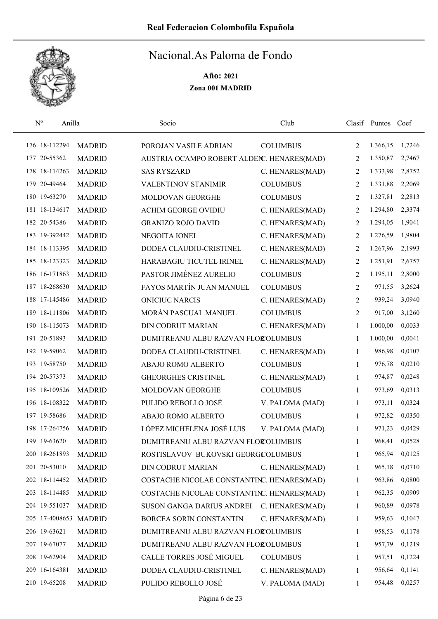

|     | $\mathbf{N}^{\text{o}}$<br>Anilla |               | Socio                                      | Club            |                | Clasif Puntos | Coef   |
|-----|-----------------------------------|---------------|--------------------------------------------|-----------------|----------------|---------------|--------|
|     | 176 18-112294                     | <b>MADRID</b> | POROJAN VASILE ADRIAN                      | <b>COLUMBUS</b> | 2              | 1.366,15      | 1,7246 |
|     | 177 20-55362                      | <b>MADRID</b> | AUSTRIA OCAMPO ROBERT ALDENC. HENARES(MAD) |                 | 2              | 1.350,87      | 2,7467 |
|     | 178 18-114263                     | <b>MADRID</b> | <b>SAS RYSZARD</b>                         | C. HENARES(MAD) | 2              | 1.333,98      | 2,8752 |
| 179 | 20-49464                          | <b>MADRID</b> | VALENTINOV STANIMIR                        | <b>COLUMBUS</b> | 2              | 1.331,88      | 2,2069 |
|     | 180 19-63270                      | <b>MADRID</b> | MOLDOVAN GEORGHE                           | <b>COLUMBUS</b> | 2              | 1.327,81      | 2,2813 |
|     | 181 18-134617                     | <b>MADRID</b> | <b>ACHIM GEORGE OVIDIU</b>                 | C. HENARES(MAD) | 2              | 1.294,80      | 2,3374 |
|     | 182 20-54386                      | <b>MADRID</b> | <b>GRANIZO ROJO DAVID</b>                  | C. HENARES(MAD) | 2              | 1.294,05      | 1,9041 |
|     | 183 19-392442                     | <b>MADRID</b> | NEGOITA IONEL                              | C. HENARES(MAD) | 2              | 1.276,59      | 1,9804 |
|     | 184 18-113395                     | <b>MADRID</b> | DODEA CLAUDIU-CRISTINEL                    | C. HENARES(MAD) | 2              | 1.267,96      | 2,1993 |
|     | 185 18-123323                     | <b>MADRID</b> | HARABAGIU TICUTEL IRINEL                   | C. HENARES(MAD) | 2              | 1.251,91      | 2,6757 |
|     | 186 16-171863                     | <b>MADRID</b> | PASTOR JIMÉNEZ AURELIO                     | <b>COLUMBUS</b> | 2              | 1.195,11      | 2,8000 |
|     | 187 18-268630                     | <b>MADRID</b> | FAYOS MARTÍN JUAN MANUEL                   | <b>COLUMBUS</b> | 2              | 971,55        | 3,2624 |
|     | 188 17-145486                     | <b>MADRID</b> | <b>ONICIUC NARCIS</b>                      | C. HENARES(MAD) | 2              | 939,24        | 3,0940 |
|     | 189 18-111806                     | <b>MADRID</b> | MORÁN PASCUAL MANUEL                       | <b>COLUMBUS</b> | $\overline{2}$ | 917,00        | 3,1260 |
|     | 190 18-115073                     | <b>MADRID</b> | <b>DIN CODRUT MARIAN</b>                   | C. HENARES(MAD) | 1              | 1.000,00      | 0,0033 |
|     | 191 20-51893                      | <b>MADRID</b> | DUMITREANU ALBU RAZVAN FLOROLUMBUS         |                 | 1              | 1.000,00      | 0,0041 |
|     | 192 19-59062                      | <b>MADRID</b> | DODEA CLAUDIU-CRISTINEL                    | C. HENARES(MAD) | 1              | 986,98        | 0,0107 |
|     | 193 19-58750                      | <b>MADRID</b> | ABAJO ROMO ALBERTO                         | <b>COLUMBUS</b> | 1              | 976,78        | 0,0210 |
|     | 194 20-57373                      | <b>MADRID</b> | <b>GHEORGHES CRISTINEL</b>                 | C. HENARES(MAD) | 1              | 974,87        | 0,0248 |
|     | 195 18-109526                     | <b>MADRID</b> | MOLDOVAN GEORGHE                           | <b>COLUMBUS</b> | 1              | 973,69        | 0,0313 |
|     | 196 18-108322                     | <b>MADRID</b> | PULIDO REBOLLO JOSÉ                        | V. PALOMA (MAD) | 1              | 973,11        | 0,0324 |
|     | 197 19-58686                      | <b>MADRID</b> | ABAJO ROMO ALBERTO                         | <b>COLUMBUS</b> | 1              | 972,82        | 0,0350 |
|     | 198 17-264756                     | <b>MADRID</b> | LÓPEZ MICHELENA JOSÉ LUIS                  | V. PALOMA (MAD) | 1              | 971,23        | 0,0429 |
|     | 199 19-63620                      | <b>MADRID</b> | DUMITREANU ALBU RAZVAN FLOROLUMBUS         |                 | 1              | 968,41        | 0,0528 |
|     | 200 18-261893                     | <b>MADRID</b> | ROSTISLAVOV BUKOVSKI GEORGCOLUMBUS         |                 | 1              | 965,94        | 0,0125 |
|     | 201 20-53010                      | <b>MADRID</b> | DIN CODRUT MARIAN                          | C. HENARES(MAD) | 1              | 965,18        | 0,0710 |
|     | 202 18-114452                     | <b>MADRID</b> | COSTACHE NICOLAE CONSTANTINC. HENARES(MAD) |                 | 1              | 963,86        | 0,0800 |
|     | 203 18-114485                     | <b>MADRID</b> | COSTACHE NICOLAE CONSTANTINC. HENARES(MAD) |                 | 1              | 962,35        | 0,0909 |
|     | 204 19-551037                     | <b>MADRID</b> | SUSON GANGA DARIUS ANDREI                  | C. HENARES(MAD) | 1              | 960,89        | 0,0978 |
|     | 205 17-4008653 MADRID             |               | BORCEA SORIN CONSTANTIN                    | C. HENARES(MAD) | 1              | 959,63        | 0,1047 |
|     | 206 19-63621                      | <b>MADRID</b> | DUMITREANU ALBU RAZVAN FLOROLUMBUS         |                 | 1              | 958,53        | 0,1178 |
|     | 207 19-67077                      | <b>MADRID</b> | DUMITREANU ALBU RAZVAN FLOROLUMBUS         |                 | 1              | 957,79        | 0,1219 |
|     | 208 19-62904                      | <b>MADRID</b> | CALLE TORRES JOSÉ MIGUEL                   | <b>COLUMBUS</b> | 1              | 957,51        | 0,1224 |
|     | 209 16-164381                     | <b>MADRID</b> | DODEA CLAUDIU-CRISTINEL                    | C. HENARES(MAD) | 1              | 956,64        | 0,1141 |
|     | 210 19-65208                      | <b>MADRID</b> | PULIDO REBOLLO JOSÉ                        | V. PALOMA (MAD) | 1              | 954,48        | 0,0257 |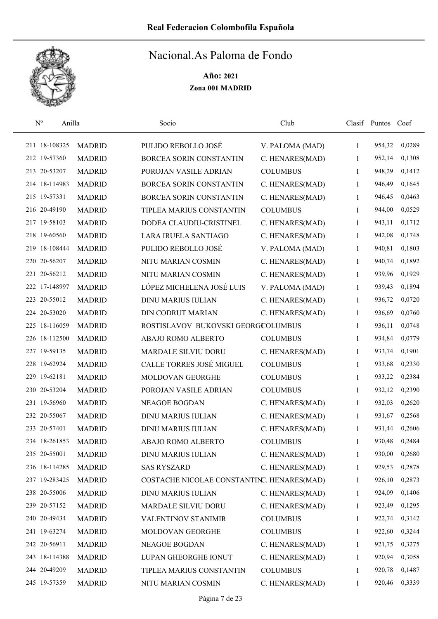

| $\rm N^o$<br>Anilla |               | Socio                                      | Club            |              | Clasif Puntos | Coef   |
|---------------------|---------------|--------------------------------------------|-----------------|--------------|---------------|--------|
| 211 18-108325       | <b>MADRID</b> | PULIDO REBOLLO JOSÉ                        | V. PALOMA (MAD) | 1            | 954,32        | 0,0289 |
| 212 19-57360        | <b>MADRID</b> | BORCEA SORIN CONSTANTIN                    | C. HENARES(MAD) | 1            | 952,14        | 0,1308 |
| 213 20-53207        | <b>MADRID</b> | POROJAN VASILE ADRIAN                      | <b>COLUMBUS</b> | 1            | 948,29        | 0,1412 |
| 214 18-114983       | <b>MADRID</b> | BORCEA SORIN CONSTANTIN                    | C. HENARES(MAD) | 1            | 946,49        | 0,1645 |
| 215 19-57331        | <b>MADRID</b> | BORCEA SORIN CONSTANTIN                    | C. HENARES(MAD) | 1            | 946,45        | 0,0463 |
| 216 20-49190        | <b>MADRID</b> | TIPLEA MARIUS CONSTANTIN                   | <b>COLUMBUS</b> | 1            | 944,00        | 0,0529 |
| 217 19-58103        | <b>MADRID</b> | DODEA CLAUDIU-CRISTINEL                    | C. HENARES(MAD) | 1            | 943,11        | 0,1712 |
| 218 19-60560        | <b>MADRID</b> | LARA IRUELA SANTIAGO                       | C. HENARES(MAD) | $\mathbf{1}$ | 942,08        | 0,1748 |
| 219 18-108444       | <b>MADRID</b> | PULIDO REBOLLO JOSÉ                        | V. PALOMA (MAD) | 1            | 940,81        | 0,1803 |
| 220 20-56207        | <b>MADRID</b> | NITU MARIAN COSMIN                         | C. HENARES(MAD) | 1            | 940,74        | 0,1892 |
| 221 20-56212        | <b>MADRID</b> | NITU MARIAN COSMIN                         | C. HENARES(MAD) | 1            | 939,96        | 0,1929 |
| 222 17-148997       | <b>MADRID</b> | LÓPEZ MICHELENA JOSÉ LUIS                  | V. PALOMA (MAD) | 1            | 939,43        | 0,1894 |
| 223 20-55012        | <b>MADRID</b> | <b>DINU MARIUS IULIAN</b>                  | C. HENARES(MAD) | 1            | 936,72        | 0,0720 |
| 224 20-53020        | <b>MADRID</b> | <b>DIN CODRUT MARIAN</b>                   | C. HENARES(MAD) | 1            | 936,69        | 0,0760 |
| 225 18-116059       | <b>MADRID</b> | ROSTISLAVOV BUKOVSKI GEORGCOLUMBUS         |                 | 1            | 936,11        | 0,0748 |
| 226 18-112500       | <b>MADRID</b> | ABAJO ROMO ALBERTO                         | <b>COLUMBUS</b> | 1            | 934,84        | 0,0779 |
| 227 19-59135        | <b>MADRID</b> | MARDALE SILVIU DORU                        | C. HENARES(MAD) | 1            | 933,74        | 0,1901 |
| 228 19-62924        | <b>MADRID</b> | CALLE TORRES JOSÉ MIGUEL                   | <b>COLUMBUS</b> | $\mathbf{1}$ | 933,68        | 0,2330 |
| 229 19-62181        | <b>MADRID</b> | MOLDOVAN GEORGHE                           | <b>COLUMBUS</b> | 1            | 933,22        | 0,2384 |
| 230 20-53204        | <b>MADRID</b> | POROJAN VASILE ADRIAN                      | <b>COLUMBUS</b> | 1            | 932,12        | 0,2390 |
| 231 19-56960        | <b>MADRID</b> | NEAGOE BOGDAN                              | C. HENARES(MAD) | 1            | 932,03        | 0,2620 |
| 232 20-55067        | <b>MADRID</b> | <b>DINU MARIUS IULIAN</b>                  | C. HENARES(MAD) | 1            | 931,67        | 0,2568 |
| 233 20-57401        | <b>MADRID</b> | <b>DINU MARIUS IULIAN</b>                  | C. HENARES(MAD) | 1            | 931,44        | 0,2606 |
| 234 18-261853       | <b>MADRID</b> | ABAJO ROMO ALBERTO                         | <b>COLUMBUS</b> | 1            | 930,48        | 0,2484 |
| 235 20-55001        | <b>MADRID</b> | <b>DINU MARIUS IULIAN</b>                  | C. HENARES(MAD) | $\mathbf{1}$ | 930,00        | 0,2680 |
| 236 18-114285       | <b>MADRID</b> | <b>SAS RYSZARD</b>                         | C. HENARES(MAD) | 1            | 929,53        | 0,2878 |
| 237 19-283425       | <b>MADRID</b> | COSTACHE NICOLAE CONSTANTINC. HENARES(MAD) |                 | 1            | 926,10        | 0,2873 |
| 238 20-55006        | <b>MADRID</b> | <b>DINU MARIUS IULIAN</b>                  | C. HENARES(MAD) | 1            | 924,09        | 0,1406 |
| 239 20-57152        | <b>MADRID</b> | MARDALE SILVIU DORU                        | C. HENARES(MAD) | 1            | 923,49        | 0,1295 |
| 240 20-49434        | <b>MADRID</b> | <b>VALENTINOV STANIMIR</b>                 | <b>COLUMBUS</b> | $\mathbf{1}$ | 922,74        | 0,3142 |
| 241 19-63274        | <b>MADRID</b> | MOLDOVAN GEORGHE                           | <b>COLUMBUS</b> | 1            | 922,60        | 0,3244 |
| 242 20-56911        | <b>MADRID</b> | NEAGOE BOGDAN                              | C. HENARES(MAD) | 1            | 921,75        | 0,3275 |
| 243 18-114388       | <b>MADRID</b> | LUPAN GHEORGHE IONUT                       | C. HENARES(MAD) | 1            | 920,94        | 0,3058 |
| 244 20-49209        | <b>MADRID</b> | TIPLEA MARIUS CONSTANTIN                   | <b>COLUMBUS</b> | 1            | 920,78        | 0,1487 |
| 245 19-57359        | <b>MADRID</b> | NITU MARIAN COSMIN                         | C. HENARES(MAD) | 1            | 920,46        | 0,3339 |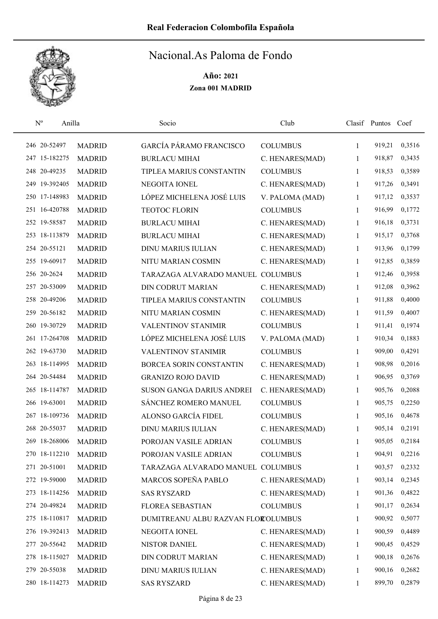

| $\mathbf{N}^{\text{o}}$ | Anilla        |               | Socio                              | Club            |              | Clasif Puntos | Coef   |
|-------------------------|---------------|---------------|------------------------------------|-----------------|--------------|---------------|--------|
|                         | 246 20-52497  | <b>MADRID</b> | GARCÍA PÁRAMO FRANCISCO            | <b>COLUMBUS</b> | 1            | 919,21        | 0,3516 |
|                         | 247 15-182275 | <b>MADRID</b> | <b>BURLACU MIHAI</b>               | C. HENARES(MAD) | 1            | 918,87        | 0,3435 |
|                         | 248 20-49235  | <b>MADRID</b> | TIPLEA MARIUS CONSTANTIN           | <b>COLUMBUS</b> | 1            | 918,53        | 0,3589 |
|                         | 249 19-392405 | <b>MADRID</b> | NEGOITA IONEL                      | C. HENARES(MAD) | 1            | 917,26        | 0,3491 |
|                         | 250 17-148983 | <b>MADRID</b> | LÓPEZ MICHELENA JOSÉ LUIS          | V. PALOMA (MAD) | 1            | 917,12        | 0,3537 |
|                         | 251 16-420788 | <b>MADRID</b> | TEOTOC FLORIN                      | <b>COLUMBUS</b> | 1            | 916,99        | 0,1772 |
|                         | 252 19-58587  | <b>MADRID</b> | <b>BURLACU MIHAI</b>               | C. HENARES(MAD) | 1            | 916,18        | 0,3731 |
|                         | 253 18-113879 | <b>MADRID</b> | <b>BURLACU MIHAI</b>               | C. HENARES(MAD) | $\mathbf{1}$ | 915,17        | 0,3768 |
|                         | 254 20-55121  | <b>MADRID</b> | <b>DINU MARIUS IULIAN</b>          | C. HENARES(MAD) | 1            | 913,96        | 0,1799 |
|                         | 255 19-60917  | <b>MADRID</b> | NITU MARIAN COSMIN                 | C. HENARES(MAD) | 1            | 912,85        | 0,3859 |
|                         | 256 20-2624   | <b>MADRID</b> | TARAZAGA ALVARADO MANUEL COLUMBUS  |                 | 1            | 912,46        | 0,3958 |
|                         | 257 20-53009  | <b>MADRID</b> | <b>DIN CODRUT MARIAN</b>           | C. HENARES(MAD) | 1            | 912,08        | 0,3962 |
|                         | 258 20-49206  | <b>MADRID</b> | TIPLEA MARIUS CONSTANTIN           | <b>COLUMBUS</b> | 1            | 911,88        | 0,4000 |
|                         | 259 20-56182  | <b>MADRID</b> | NITU MARIAN COSMIN                 | C. HENARES(MAD) | 1            | 911,59        | 0,4007 |
|                         | 260 19-30729  | <b>MADRID</b> | <b>VALENTINOV STANIMIR</b>         | <b>COLUMBUS</b> | 1            | 911,41        | 0,1974 |
|                         | 261 17-264708 | <b>MADRID</b> | LÓPEZ MICHELENA JOSÉ LUIS          | V. PALOMA (MAD) | 1            | 910,34        | 0,1883 |
|                         | 262 19-63730  | <b>MADRID</b> | VALENTINOV STANIMIR                | <b>COLUMBUS</b> | 1            | 909,00        | 0,4291 |
|                         | 263 18-114995 | <b>MADRID</b> | BORCEA SORIN CONSTANTIN            | C. HENARES(MAD) | 1            | 908,98        | 0,2016 |
|                         | 264 20-54484  | <b>MADRID</b> | <b>GRANIZO ROJO DAVID</b>          | C. HENARES(MAD) | 1            | 906,95        | 0,3769 |
|                         | 265 18-114787 | <b>MADRID</b> | SUSON GANGA DARIUS ANDREI          | C. HENARES(MAD) | 1            | 905,76        | 0,2088 |
|                         | 266 19-63001  | <b>MADRID</b> | SÁNCHEZ ROMERO MANUEL              | <b>COLUMBUS</b> | 1            | 905,75        | 0,2250 |
|                         | 267 18-109736 | <b>MADRID</b> | ALONSO GARCÍA FIDEL                | <b>COLUMBUS</b> | 1            | 905,16        | 0,4678 |
|                         | 268 20-55037  | <b>MADRID</b> | <b>DINU MARIUS IULIAN</b>          | C. HENARES(MAD) | 1            | 905,14        | 0,2191 |
|                         | 269 18-268006 | <b>MADRID</b> | POROJAN VASILE ADRIAN              | <b>COLUMBUS</b> | 1            | 905,05        | 0,2184 |
|                         | 270 18-112210 | <b>MADRID</b> | POROJAN VASILE ADRIAN              | <b>COLUMBUS</b> | 1            | 904,91        | 0,2216 |
|                         | 271 20-51001  | <b>MADRID</b> | TARAZAGA ALVARADO MANUEL COLUMBUS  |                 | 1            | 903,57        | 0,2332 |
|                         | 272 19-59000  | <b>MADRID</b> | MARCOS SOPEÑA PABLO                | C. HENARES(MAD) | 1            | 903,14        | 0,2345 |
|                         | 273 18-114256 | <b>MADRID</b> | <b>SAS RYSZARD</b>                 | C. HENARES(MAD) | 1            | 901,36        | 0,4822 |
|                         | 274 20-49824  | <b>MADRID</b> | FLOREA SEBASTIAN                   | <b>COLUMBUS</b> | 1            | 901,17        | 0,2634 |
|                         | 275 18-110817 | <b>MADRID</b> | DUMITREANU ALBU RAZVAN FLOROLUMBUS |                 | 1            | 900,92        | 0,5077 |
|                         | 276 19-392413 | <b>MADRID</b> | NEGOITA IONEL                      | C. HENARES(MAD) | 1            | 900,59        | 0,4489 |
|                         | 277 20-55642  | <b>MADRID</b> | NISTOR DANIEL                      | C. HENARES(MAD) | 1            | 900,45        | 0,4529 |
|                         | 278 18-115027 | <b>MADRID</b> | DIN CODRUT MARIAN                  | C. HENARES(MAD) | 1            | 900,18        | 0,2676 |
|                         | 279 20-55038  | <b>MADRID</b> | <b>DINU MARIUS IULIAN</b>          | C. HENARES(MAD) | $\mathbf{1}$ | 900,16        | 0,2682 |
|                         | 280 18-114273 | <b>MADRID</b> | <b>SAS RYSZARD</b>                 | C. HENARES(MAD) | 1            | 899,70        | 0,2879 |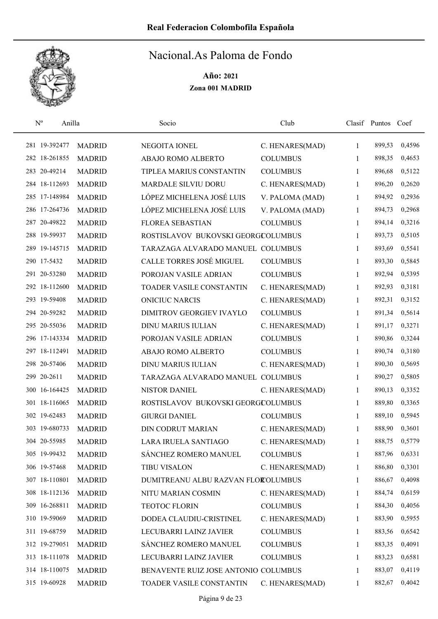

| $\mathbf{N}^{\text{o}}$ | Anilla        |               | Socio                                | Club            |              | Clasif Puntos Coef |        |
|-------------------------|---------------|---------------|--------------------------------------|-----------------|--------------|--------------------|--------|
|                         | 281 19-392477 | <b>MADRID</b> | NEGOITA IONEL                        | C. HENARES(MAD) | $\mathbf{1}$ | 899,53             | 0,4596 |
|                         | 282 18-261855 | <b>MADRID</b> | ABAJO ROMO ALBERTO                   | <b>COLUMBUS</b> | 1            | 898,35             | 0,4653 |
|                         | 283 20-49214  | <b>MADRID</b> | TIPLEA MARIUS CONSTANTIN             | <b>COLUMBUS</b> | $\mathbf{1}$ | 896,68             | 0,5122 |
|                         | 284 18-112693 | <b>MADRID</b> | MARDALE SILVIU DORU                  | C. HENARES(MAD) | 1            | 896,20             | 0,2620 |
|                         | 285 17-148984 | <b>MADRID</b> | LÓPEZ MICHELENA JOSÉ LUIS            | V. PALOMA (MAD) | $\mathbf{1}$ | 894,92             | 0,2936 |
|                         | 286 17-264736 | <b>MADRID</b> | LÓPEZ MICHELENA JOSÉ LUIS            | V. PALOMA (MAD) | $\mathbf{1}$ | 894,73             | 0,2968 |
|                         | 287 20-49822  | <b>MADRID</b> | <b>FLOREA SEBASTIAN</b>              | <b>COLUMBUS</b> | $\mathbf{1}$ | 894,14             | 0,3216 |
|                         | 288 19-59937  | <b>MADRID</b> | ROSTISLAVOV BUKOVSKI GEORGCOLUMBUS   |                 | 1            | 893,73             | 0,5105 |
|                         | 289 19-145715 | <b>MADRID</b> | TARAZAGA ALVARADO MANUEL COLUMBUS    |                 | $\mathbf{1}$ | 893,69             | 0,5541 |
|                         | 290 17-5432   | <b>MADRID</b> | CALLE TORRES JOSÉ MIGUEL             | <b>COLUMBUS</b> | 1            | 893,30             | 0,5845 |
|                         | 291 20-53280  | <b>MADRID</b> | POROJAN VASILE ADRIAN                | <b>COLUMBUS</b> | $\mathbf{1}$ | 892,94             | 0,5395 |
|                         | 292 18-112600 | <b>MADRID</b> | TOADER VASILE CONSTANTIN             | C. HENARES(MAD) | 1            | 892,93             | 0,3181 |
|                         | 293 19-59408  | <b>MADRID</b> | <b>ONICIUC NARCIS</b>                | C. HENARES(MAD) | 1            | 892,31             | 0,3152 |
|                         | 294 20-59282  | <b>MADRID</b> | DIMITROV GEORGIEV IVAYLO             | <b>COLUMBUS</b> | 1            | 891,34             | 0,5614 |
|                         | 295 20-55036  | <b>MADRID</b> | <b>DINU MARIUS IULIAN</b>            | C. HENARES(MAD) | $\mathbf{1}$ | 891,17             | 0,3271 |
|                         | 296 17-143334 | <b>MADRID</b> | POROJAN VASILE ADRIAN                | <b>COLUMBUS</b> | 1            | 890,86             | 0,3244 |
|                         | 297 18-112491 | <b>MADRID</b> | ABAJO ROMO ALBERTO                   | <b>COLUMBUS</b> | 1            | 890,74             | 0,3180 |
|                         | 298 20-57406  | <b>MADRID</b> | <b>DINU MARIUS IULIAN</b>            | C. HENARES(MAD) | 1            | 890,30             | 0,5695 |
|                         | 299 20-2611   | <b>MADRID</b> | TARAZAGA ALVARADO MANUEL COLUMBUS    |                 | 1            | 890,27             | 0,5805 |
|                         | 300 16-164425 | <b>MADRID</b> | <b>NISTOR DANIEL</b>                 | C. HENARES(MAD) | 1            | 890,13             | 0,3352 |
|                         | 301 18-116065 | <b>MADRID</b> | ROSTISLAVOV BUKOVSKI GEORGCOLUMBUS   |                 | 1            | 889,80             | 0,3365 |
|                         | 302 19-62483  | <b>MADRID</b> | <b>GIURGI DANIEL</b>                 | <b>COLUMBUS</b> | 1            | 889,10             | 0,5945 |
|                         | 303 19-680733 | <b>MADRID</b> | <b>DIN CODRUT MARIAN</b>             | C. HENARES(MAD) | 1            | 888,90             | 0,3601 |
|                         | 304 20-55985  | <b>MADRID</b> | LARA IRUELA SANTIAGO                 | C. HENARES(MAD) | 1            | 888,75             | 0,5779 |
|                         | 305 19-99432  | <b>MADRID</b> | SÁNCHEZ ROMERO MANUEL                | <b>COLUMBUS</b> | 1            | 887,96             | 0,6331 |
|                         | 306 19-57468  | <b>MADRID</b> | <b>TIBU VISALON</b>                  | C. HENARES(MAD) | 1            | 886,80             | 0,3301 |
|                         | 307 18-110801 | <b>MADRID</b> | DUMITREANU ALBU RAZVAN FLOROLUMBUS   |                 | 1            | 886,67             | 0,4098 |
|                         | 308 18-112136 | <b>MADRID</b> | NITU MARIAN COSMIN                   | C. HENARES(MAD) | 1            | 884,74             | 0,6159 |
|                         | 309 16-268811 | <b>MADRID</b> | TEOTOC FLORIN                        | <b>COLUMBUS</b> | 1            | 884,30             | 0,4056 |
|                         | 310 19-59069  | <b>MADRID</b> | DODEA CLAUDIU-CRISTINEL              | C. HENARES(MAD) | $\mathbf{1}$ | 883,90             | 0,5955 |
|                         | 311 19-68759  | <b>MADRID</b> | LECUBARRI LAINZ JAVIER               | <b>COLUMBUS</b> | 1            | 883,56             | 0,6542 |
|                         | 312 19-279051 | <b>MADRID</b> | SÁNCHEZ ROMERO MANUEL                | <b>COLUMBUS</b> | 1            | 883,35             | 0,4091 |
|                         | 313 18-111078 | <b>MADRID</b> | LECUBARRI LAINZ JAVIER               | <b>COLUMBUS</b> | 1            | 883,23             | 0,6581 |
|                         | 314 18-110075 | <b>MADRID</b> | BENAVENTE RUIZ JOSE ANTONIO COLUMBUS |                 | 1            | 883,07             | 0,4119 |
|                         | 315 19-60928  | <b>MADRID</b> | TOADER VASILE CONSTANTIN             | C. HENARES(MAD) | 1            | 882,67             | 0,4042 |
|                         |               |               |                                      |                 |              |                    |        |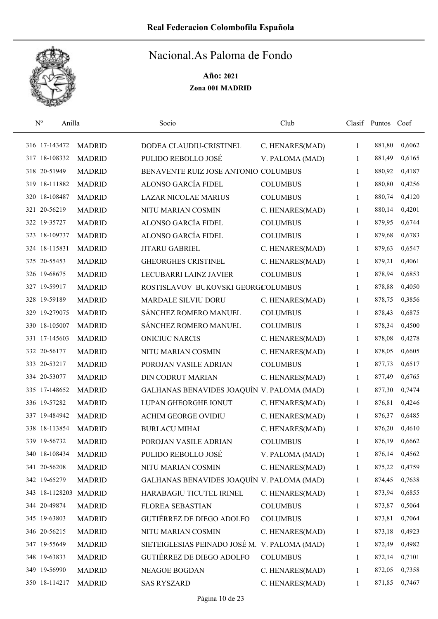

|  | $\mathbf{N}^{\text{o}}$<br>Anilla |               | Socio                                         | Club            |              | Clasif Puntos Coef |        |
|--|-----------------------------------|---------------|-----------------------------------------------|-----------------|--------------|--------------------|--------|
|  | 316 17-143472                     | <b>MADRID</b> | DODEA CLAUDIU-CRISTINEL                       | C. HENARES(MAD) | 1            | 881,80             | 0,6062 |
|  | 317 18-108332                     | <b>MADRID</b> | PULIDO REBOLLO JOSÉ                           | V. PALOMA (MAD) | 1            | 881,49             | 0,6165 |
|  | 318 20-51949                      | <b>MADRID</b> | BENAVENTE RUIZ JOSE ANTONIO COLUMBUS          |                 | 1            | 880,92             | 0,4187 |
|  | 319 18-111882                     | <b>MADRID</b> | ALONSO GARCÍA FIDEL                           | <b>COLUMBUS</b> | 1            | 880,80             | 0,4256 |
|  | 320 18-108487                     | <b>MADRID</b> | <b>LAZAR NICOLAE MARIUS</b>                   | <b>COLUMBUS</b> | 1            | 880,74             | 0,4120 |
|  | 321 20-56219                      | <b>MADRID</b> | NITU MARIAN COSMIN                            | C. HENARES(MAD) | 1            | 880,14             | 0,4201 |
|  | 322 19-35727                      | <b>MADRID</b> | <b>ALONSO GARCÍA FIDEL</b>                    | <b>COLUMBUS</b> | 1            | 879,95             | 0,6744 |
|  | 323 18-109737                     | <b>MADRID</b> | ALONSO GARCÍA FIDEL                           | <b>COLUMBUS</b> | 1            | 879,68             | 0,6783 |
|  | 324 18-115831                     | <b>MADRID</b> | JITARU GABRIEL                                | C. HENARES(MAD) | 1            | 879,63             | 0,6547 |
|  | 325 20-55453                      | <b>MADRID</b> | <b>GHEORGHES CRISTINEL</b>                    | C. HENARES(MAD) | 1            | 879,21             | 0,4061 |
|  | 326 19-68675                      | <b>MADRID</b> | LECUBARRI LAINZ JAVIER                        | <b>COLUMBUS</b> | 1            | 878,94             | 0,6853 |
|  | 327 19-59917                      | <b>MADRID</b> | ROSTISLAVOV BUKOVSKI GEORGCOLUMBUS            |                 | 1            | 878,88             | 0,4050 |
|  | 328 19-59189                      | <b>MADRID</b> | MARDALE SILVIU DORU                           | C. HENARES(MAD) | 1            | 878,75             | 0,3856 |
|  | 329 19-279075                     | <b>MADRID</b> | SÁNCHEZ ROMERO MANUEL                         | <b>COLUMBUS</b> | 1            | 878,43             | 0,6875 |
|  | 330 18-105007                     | <b>MADRID</b> | SÁNCHEZ ROMERO MANUEL                         | <b>COLUMBUS</b> | 1            | 878,34             | 0,4500 |
|  | 331 17-145603                     | <b>MADRID</b> | <b>ONICIUC NARCIS</b>                         | C. HENARES(MAD) | 1            | 878,08             | 0,4278 |
|  | 332 20-56177                      | <b>MADRID</b> | NITU MARIAN COSMIN                            | C. HENARES(MAD) | 1            | 878,05             | 0,6605 |
|  | 333 20-53217                      | <b>MADRID</b> | POROJAN VASILE ADRIAN                         | <b>COLUMBUS</b> | 1            | 877,73             | 0,6517 |
|  | 334 20-53077                      | <b>MADRID</b> | <b>DIN CODRUT MARIAN</b>                      | C. HENARES(MAD) | $\mathbf{1}$ | 877,49             | 0,6765 |
|  | 335 17-148652                     | <b>MADRID</b> | GALHANAS BENAVIDES JOAQUÍN V. PALOMA (MAD)    |                 | 1            | 877,30             | 0,7474 |
|  | 336 19-57282                      | <b>MADRID</b> | LUPAN GHEORGHE IONUT                          | C. HENARES(MAD) | 1            | 876,81             | 0,4246 |
|  | 337 19-484942                     | <b>MADRID</b> | <b>ACHIM GEORGE OVIDIU</b>                    | C. HENARES(MAD) | 1            | 876,37             | 0,6485 |
|  | 338 18-113854                     | <b>MADRID</b> | <b>BURLACU MIHAI</b>                          | C. HENARES(MAD) | 1            | 876,20             | 0,4610 |
|  | 339 19-56732                      | <b>MADRID</b> | POROJAN VASILE ADRIAN                         | <b>COLUMBUS</b> | 1            | 876,19             | 0,6662 |
|  | 340 18-108434                     | <b>MADRID</b> | PULIDO REBOLLO JOSÉ                           | V. PALOMA (MAD) | 1            | 876,14             | 0,4562 |
|  | 341 20-56208                      | <b>MADRID</b> | NITU MARIAN COSMIN                            | C. HENARES(MAD) | 1            | 875,22             | 0,4759 |
|  | 342 19-65279                      | <b>MADRID</b> | GALHANAS BENAVIDES JOAQUÍN V. PALOMA (MAD)    |                 | 1            | 874,45             | 0,7638 |
|  | 343 18-1128203 MADRID             |               | HARABAGIU TICUTEL IRINEL                      | C. HENARES(MAD) | 1            | 873,94             | 0,6855 |
|  | 344 20-49874                      | <b>MADRID</b> | FLOREA SEBASTIAN                              | <b>COLUMBUS</b> | 1            | 873,87             | 0,5064 |
|  | 345 19-63803                      | <b>MADRID</b> | GUTIÉRREZ DE DIEGO ADOLFO                     | <b>COLUMBUS</b> | 1            | 873,81             | 0,7064 |
|  | 346 20-56215                      | <b>MADRID</b> | NITU MARIAN COSMIN                            | C. HENARES(MAD) | 1            | 873,18             | 0,4923 |
|  | 347 19-55649                      | <b>MADRID</b> | SIETEIGLESIAS PEINADO JOSÉ M. V. PALOMA (MAD) |                 | 1            | 872,49             | 0,4982 |
|  | 348 19-63833                      | <b>MADRID</b> | GUTIÉRREZ DE DIEGO ADOLFO                     | <b>COLUMBUS</b> | 1            | 872,14             | 0,7101 |
|  | 349 19-56990                      | <b>MADRID</b> | NEAGOE BOGDAN                                 | C. HENARES(MAD) | 1            | 872,05             | 0,7358 |
|  | 350 18-114217                     | <b>MADRID</b> | <b>SAS RYSZARD</b>                            | C. HENARES(MAD) | 1            | 871,85             | 0,7467 |
|  |                                   |               |                                               |                 |              |                    |        |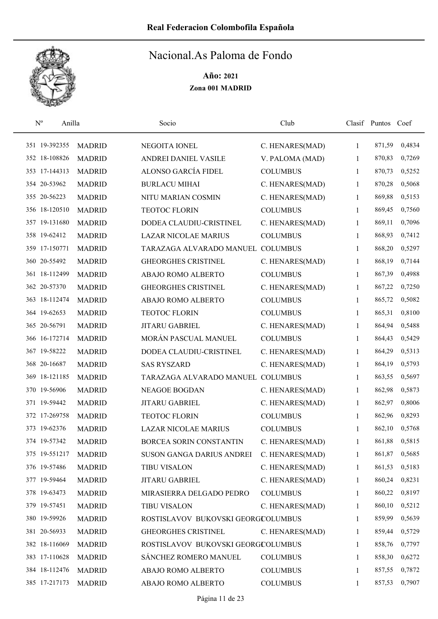

| $\mathbf{N}^{\text{o}}$ | Anilla        |               | Socio                              | Club            |              | Clasif Puntos | Coef   |
|-------------------------|---------------|---------------|------------------------------------|-----------------|--------------|---------------|--------|
|                         | 351 19-392355 | <b>MADRID</b> | NEGOITA IONEL                      | C. HENARES(MAD) | $\mathbf{1}$ | 871,59        | 0,4834 |
|                         | 352 18-108826 | <b>MADRID</b> | ANDREI DANIEL VASILE               | V. PALOMA (MAD) | 1            | 870,83        | 0,7269 |
|                         | 353 17-144313 | <b>MADRID</b> | ALONSO GARCÍA FIDEL                | <b>COLUMBUS</b> | 1            | 870,73        | 0,5252 |
|                         | 354 20-53962  | <b>MADRID</b> | <b>BURLACU MIHAI</b>               | C. HENARES(MAD) | $\mathbf{1}$ | 870,28        | 0,5068 |
|                         | 355 20-56223  | <b>MADRID</b> | NITU MARIAN COSMIN                 | C. HENARES(MAD) | 1            | 869,88        | 0,5153 |
|                         | 356 18-120510 | <b>MADRID</b> | <b>TEOTOC FLORIN</b>               | <b>COLUMBUS</b> | $\mathbf{1}$ | 869,45        | 0,7560 |
|                         | 357 19-131680 | <b>MADRID</b> | DODEA CLAUDIU-CRISTINEL            | C. HENARES(MAD) | 1            | 869,11        | 0,7096 |
|                         | 358 19-62412  | <b>MADRID</b> | <b>LAZAR NICOLAE MARIUS</b>        | <b>COLUMBUS</b> | $\mathbf{1}$ | 868,93        | 0,7412 |
|                         | 359 17-150771 | <b>MADRID</b> | TARAZAGA ALVARADO MANUEL COLUMBUS  |                 | 1            | 868,20        | 0,5297 |
|                         | 360 20-55492  | <b>MADRID</b> | <b>GHEORGHES CRISTINEL</b>         | C. HENARES(MAD) | 1            | 868,19        | 0,7144 |
|                         | 361 18-112499 | <b>MADRID</b> | ABAJO ROMO ALBERTO                 | <b>COLUMBUS</b> | 1            | 867,39        | 0,4988 |
|                         | 362 20-57370  | <b>MADRID</b> | <b>GHEORGHES CRISTINEL</b>         | C. HENARES(MAD) | 1            | 867,22        | 0,7250 |
|                         | 363 18-112474 | <b>MADRID</b> | ABAJO ROMO ALBERTO                 | <b>COLUMBUS</b> | 1            | 865,72        | 0,5082 |
|                         | 364 19-62653  | <b>MADRID</b> | <b>TEOTOC FLORIN</b>               | <b>COLUMBUS</b> | 1            | 865,31        | 0,8100 |
|                         | 365 20-56791  | <b>MADRID</b> | <b>JITARU GABRIEL</b>              | C. HENARES(MAD) | $\mathbf{1}$ | 864,94        | 0,5488 |
|                         | 366 16-172714 | <b>MADRID</b> | MORÁN PASCUAL MANUEL               | <b>COLUMBUS</b> | 1            | 864,43        | 0,5429 |
|                         | 367 19-58222  | <b>MADRID</b> | DODEA CLAUDIU-CRISTINEL            | C. HENARES(MAD) | 1            | 864,29        | 0,5313 |
|                         | 368 20-16687  | <b>MADRID</b> | <b>SAS RYSZARD</b>                 | C. HENARES(MAD) | 1            | 864,19        | 0,5793 |
|                         | 369 18-121185 | <b>MADRID</b> | TARAZAGA ALVARADO MANUEL COLUMBUS  |                 | 1            | 863,55        | 0,5697 |
|                         | 370 19-56906  | <b>MADRID</b> | <b>NEAGOE BOGDAN</b>               | C. HENARES(MAD) | 1            | 862,98        | 0,5873 |
|                         | 371 19-59442  | <b>MADRID</b> | JITARU GABRIEL                     | C. HENARES(MAD) | $\mathbf{1}$ | 862,97        | 0,8006 |
|                         | 372 17-269758 | <b>MADRID</b> | <b>TEOTOC FLORIN</b>               | <b>COLUMBUS</b> | 1            | 862,96        | 0,8293 |
|                         | 373 19-62376  | <b>MADRID</b> | <b>LAZAR NICOLAE MARIUS</b>        | <b>COLUMBUS</b> | 1            | 862,10        | 0,5768 |
|                         | 374 19-57342  | <b>MADRID</b> | <b>BORCEA SORIN CONSTANTIN</b>     | C. HENARES(MAD) | 1            | 861,88        | 0,5815 |
|                         | 375 19-551217 | <b>MADRID</b> | SUSON GANGA DARIUS ANDREI          | C. HENARES(MAD) | 1            | 861,87        | 0,5685 |
|                         | 376 19-57486  | <b>MADRID</b> | <b>TIBU VISALON</b>                | C. HENARES(MAD) | $\mathbf{1}$ | 861,53        | 0,5183 |
|                         | 377 19-59464  | <b>MADRID</b> | <b>JITARU GABRIEL</b>              | C. HENARES(MAD) | 1            | 860,24        | 0,8231 |
|                         | 378 19-63473  | <b>MADRID</b> | MIRASIERRA DELGADO PEDRO           | <b>COLUMBUS</b> | $\mathbf{1}$ | 860,22        | 0,8197 |
|                         | 379 19-57451  | <b>MADRID</b> | <b>TIBU VISALON</b>                | C. HENARES(MAD) | 1            | 860,10        | 0,5212 |
|                         | 380 19-59926  | <b>MADRID</b> | ROSTISLAVOV BUKOVSKI GEORGCOLUMBUS |                 | 1            | 859,99        | 0,5639 |
|                         | 381 20-56933  | <b>MADRID</b> | <b>GHEORGHES CRISTINEL</b>         | C. HENARES(MAD) | $\mathbf{1}$ | 859,44        | 0,5729 |
|                         | 382 18-116069 | <b>MADRID</b> | ROSTISLAVOV BUKOVSKI GEORGCOLUMBUS |                 | 1            | 858,76        | 0,7797 |
|                         | 383 17-110628 | <b>MADRID</b> | SÁNCHEZ ROMERO MANUEL              | <b>COLUMBUS</b> | 1            | 858,30        | 0,6272 |
|                         | 384 18-112476 | <b>MADRID</b> | ABAJO ROMO ALBERTO                 | <b>COLUMBUS</b> | 1            | 857,55        | 0,7872 |
|                         | 385 17-217173 | <b>MADRID</b> | ABAJO ROMO ALBERTO                 | <b>COLUMBUS</b> | 1            | 857,53        | 0,7907 |
|                         |               |               |                                    |                 |              |               |        |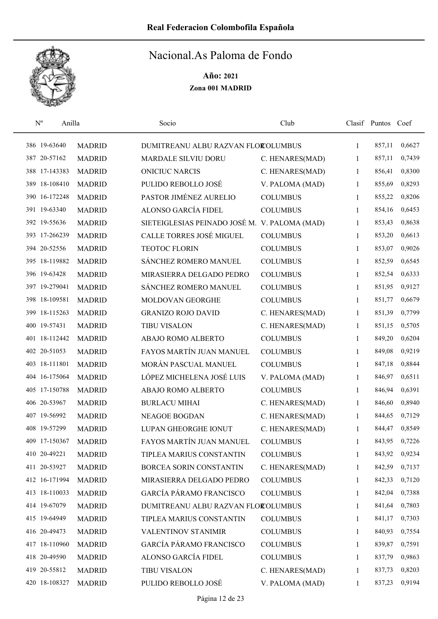

| $N^{o}$       | Anilla        | Socio                                         | Club            |   | Clasif Puntos Coef |        |
|---------------|---------------|-----------------------------------------------|-----------------|---|--------------------|--------|
| 386 19-63640  | <b>MADRID</b> | DUMITREANU ALBU RAZVAN FLOROLUMBUS            |                 | 1 | 857,11             | 0,6627 |
| 387 20-57162  | <b>MADRID</b> | MARDALE SILVIU DORU                           | C. HENARES(MAD) | 1 | 857,11             | 0,7439 |
| 388 17-143383 | <b>MADRID</b> | <b>ONICIUC NARCIS</b>                         | C. HENARES(MAD) | 1 | 856,41             | 0,8300 |
| 389 18-108410 | <b>MADRID</b> | PULIDO REBOLLO JOSÉ                           | V. PALOMA (MAD) | 1 | 855,69             | 0,8293 |
| 390 16-172248 | <b>MADRID</b> | PASTOR JIMÉNEZ AURELIO                        | <b>COLUMBUS</b> | 1 | 855,22             | 0,8206 |
| 391 19-63340  | <b>MADRID</b> | ALONSO GARCÍA FIDEL                           | <b>COLUMBUS</b> | 1 | 854,16             | 0,6453 |
| 392 19-55636  | <b>MADRID</b> | SIETEIGLESIAS PEINADO JOSÉ M. V. PALOMA (MAD) |                 | 1 | 853,43             | 0,8638 |
| 393 17-266239 | <b>MADRID</b> | CALLE TORRES JOSÉ MIGUEL                      | <b>COLUMBUS</b> | 1 | 853,20             | 0,6613 |
| 394 20-52556  | <b>MADRID</b> | <b>TEOTOC FLORIN</b>                          | <b>COLUMBUS</b> | 1 | 853,07             | 0,9026 |
| 395 18-119882 | <b>MADRID</b> | SÁNCHEZ ROMERO MANUEL                         | <b>COLUMBUS</b> | 1 | 852,59             | 0,6545 |
| 396 19-63428  | <b>MADRID</b> | MIRASIERRA DELGADO PEDRO                      | <b>COLUMBUS</b> | 1 | 852,54             | 0,6333 |
| 397 19-279041 | <b>MADRID</b> | SÁNCHEZ ROMERO MANUEL                         | <b>COLUMBUS</b> | 1 | 851,95             | 0,9127 |
| 398 18-109581 | <b>MADRID</b> | MOLDOVAN GEORGHE                              | <b>COLUMBUS</b> | 1 | 851,77             | 0,6679 |
| 399 18-115263 | <b>MADRID</b> | <b>GRANIZO ROJO DAVID</b>                     | C. HENARES(MAD) | 1 | 851,39             | 0,7799 |
| 400 19-57431  | <b>MADRID</b> | <b>TIBU VISALON</b>                           | C. HENARES(MAD) | 1 | 851,15             | 0,5705 |
| 401 18-112442 | <b>MADRID</b> | ABAJO ROMO ALBERTO                            | <b>COLUMBUS</b> | 1 | 849,20             | 0,6204 |
| 402 20-51053  | <b>MADRID</b> | FAYOS MARTÍN JUAN MANUEL                      | <b>COLUMBUS</b> | 1 | 849,08             | 0,9219 |
| 403 18-111801 | <b>MADRID</b> | MORÁN PASCUAL MANUEL                          | <b>COLUMBUS</b> | 1 | 847,18             | 0,8844 |
| 404 16-175064 | <b>MADRID</b> | LÓPEZ MICHELENA JOSÉ LUIS                     | V. PALOMA (MAD) | 1 | 846,97             | 0,6511 |
| 405 17-150788 | <b>MADRID</b> | ABAJO ROMO ALBERTO                            | <b>COLUMBUS</b> | 1 | 846,94             | 0,6391 |
| 406 20-53967  | <b>MADRID</b> | <b>BURLACU MIHAI</b>                          | C. HENARES(MAD) | 1 | 846,60             | 0,8940 |
| 407 19-56992  | <b>MADRID</b> | <b>NEAGOE BOGDAN</b>                          | C. HENARES(MAD) | 1 | 844,65             | 0,7129 |
| 408 19-57299  | <b>MADRID</b> | LUPAN GHEORGHE IONUT                          | C. HENARES(MAD) | 1 | 844,47             | 0,8549 |
| 409 17-150367 | <b>MADRID</b> | FAYOS MARTÍN JUAN MANUEL                      | <b>COLUMBUS</b> | 1 | 843,95             | 0,7226 |
| 410 20-49221  | <b>MADRID</b> | TIPLEA MARIUS CONSTANTIN                      | <b>COLUMBUS</b> | 1 | 843,92             | 0,9234 |
| 411 20-53927  | <b>MADRID</b> | BORCEA SORIN CONSTANTIN                       | C. HENARES(MAD) | 1 | 842,59             | 0,7137 |
| 412 16-171994 | <b>MADRID</b> | MIRASIERRA DELGADO PEDRO                      | <b>COLUMBUS</b> | 1 | 842,33             | 0,7120 |
| 413 18-110033 | <b>MADRID</b> | GARCÍA PÁRAMO FRANCISCO                       | <b>COLUMBUS</b> | 1 | 842,04             | 0,7388 |
| 414 19-67079  | <b>MADRID</b> | DUMITREANU ALBU RAZVAN FLOROLUMBUS            |                 | 1 | 841,64             | 0,7803 |
| 415 19-64949  | <b>MADRID</b> | TIPLEA MARIUS CONSTANTIN                      | <b>COLUMBUS</b> | 1 | 841,17             | 0,7303 |
| 416 20-49473  | <b>MADRID</b> | VALENTINOV STANIMIR                           | <b>COLUMBUS</b> | 1 | 840,93             | 0,7554 |
| 417 18-110960 | <b>MADRID</b> | <b>GARCÍA PÁRAMO FRANCISCO</b>                | <b>COLUMBUS</b> | 1 | 839,87             | 0,7591 |
| 418 20-49590  | <b>MADRID</b> | ALONSO GARCÍA FIDEL                           | <b>COLUMBUS</b> | 1 | 837,79             | 0,9863 |
| 419 20-55812  | <b>MADRID</b> | <b>TIBU VISALON</b>                           | C. HENARES(MAD) | 1 | 837,73             | 0,8203 |
| 420 18-108327 | <b>MADRID</b> | PULIDO REBOLLO JOSÉ                           | V. PALOMA (MAD) | 1 | 837,23             | 0,9194 |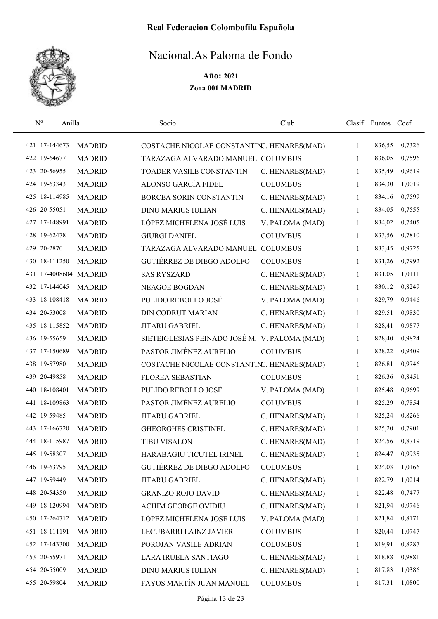

| $\mathbf{N}^{\text{o}}$<br>Anilla |               | Socio                                         | Club            |              | Clasif Puntos Coef |        |
|-----------------------------------|---------------|-----------------------------------------------|-----------------|--------------|--------------------|--------|
| 421 17-144673                     | <b>MADRID</b> | COSTACHE NICOLAE CONSTANTINC. HENARES(MAD)    |                 | $\mathbf{1}$ | 836,55             | 0,7326 |
| 422 19-64677                      | <b>MADRID</b> | TARAZAGA ALVARADO MANUEL COLUMBUS             |                 | 1            | 836,05             | 0,7596 |
| 423 20-56955                      | <b>MADRID</b> | TOADER VASILE CONSTANTIN                      | C. HENARES(MAD) | 1            | 835,49             | 0,9619 |
| 424 19-63343                      | <b>MADRID</b> | ALONSO GARCÍA FIDEL                           | <b>COLUMBUS</b> | 1            | 834,30             | 1,0019 |
| 425 18-114985                     | <b>MADRID</b> | BORCEA SORIN CONSTANTIN                       | C. HENARES(MAD) | 1            | 834,16             | 0,7599 |
| 426 20-55051                      | <b>MADRID</b> | <b>DINU MARIUS IULIAN</b>                     | C. HENARES(MAD) | 1            | 834,05             | 0,7555 |
| 427 17-148991                     | <b>MADRID</b> | LÓPEZ MICHELENA JOSÉ LUIS                     | V. PALOMA (MAD) | 1            | 834,02             | 0,7405 |
| 428 19-62478                      | <b>MADRID</b> | <b>GIURGI DANIEL</b>                          | <b>COLUMBUS</b> | 1            | 833,56             | 0,7810 |
| 429 20-2870                       | <b>MADRID</b> | TARAZAGA ALVARADO MANUEL COLUMBUS             |                 | 1            | 833,45             | 0,9725 |
| 430 18-111250                     | <b>MADRID</b> | <b>GUTIÉRREZ DE DIEGO ADOLFO</b>              | <b>COLUMBUS</b> | 1            | 831,26             | 0,7992 |
| 431 17-4008604 MADRID             |               | <b>SAS RYSZARD</b>                            | C. HENARES(MAD) | 1            | 831,05             | 1,0111 |
| 432 17-144045                     | <b>MADRID</b> | <b>NEAGOE BOGDAN</b>                          | C. HENARES(MAD) | 1            | 830,12             | 0,8249 |
| 433 18-108418                     | <b>MADRID</b> | PULIDO REBOLLO JOSÉ                           | V. PALOMA (MAD) | 1            | 829,79             | 0,9446 |
| 434 20-53008                      | <b>MADRID</b> | <b>DIN CODRUT MARIAN</b>                      | C. HENARES(MAD) | 1            | 829,51             | 0,9830 |
| 435 18-115852                     | <b>MADRID</b> | <b>JITARU GABRIEL</b>                         | C. HENARES(MAD) | 1            | 828,41             | 0,9877 |
| 436 19-55659                      | <b>MADRID</b> | SIETEIGLESIAS PEINADO JOSÉ M. V. PALOMA (MAD) |                 | 1            | 828,40             | 0,9824 |
| 437 17-150689                     | <b>MADRID</b> | PASTOR JIMÉNEZ AURELIO                        | <b>COLUMBUS</b> | 1            | 828,22             | 0,9409 |
| 438 19-57980                      | <b>MADRID</b> | COSTACHE NICOLAE CONSTANTINC. HENARES(MAD)    |                 | 1            | 826,81             | 0,9746 |
| 439 20-49858                      | <b>MADRID</b> | <b>FLOREA SEBASTIAN</b>                       | <b>COLUMBUS</b> | $\mathbf{1}$ | 826,36             | 0,8451 |
| 440 18-108401                     | <b>MADRID</b> | PULIDO REBOLLO JOSÉ                           | V. PALOMA (MAD) | 1            | 825,48             | 0,9699 |
| 441 18-109863                     | <b>MADRID</b> | PASTOR JIMÉNEZ AURELIO                        | <b>COLUMBUS</b> | 1            | 825,29             | 0,7854 |
| 442 19-59485                      | <b>MADRID</b> | <b>JITARU GABRIEL</b>                         | C. HENARES(MAD) | 1            | 825,24             | 0,8266 |
| 443 17-166720                     | <b>MADRID</b> | <b>GHEORGHES CRISTINEL</b>                    | C. HENARES(MAD) | 1            | 825,20             | 0,7901 |
| 444 18-115987                     | <b>MADRID</b> | <b>TIBU VISALON</b>                           | C. HENARES(MAD) | 1            | 824,56             | 0,8719 |
| 445 19-58307                      | <b>MADRID</b> | HARABAGIU TICUTEL IRINEL                      | C. HENARES(MAD) | 1            | 824,47             | 0,9935 |
| 446 19-63795                      | <b>MADRID</b> | GUTIÉRREZ DE DIEGO ADOLFO                     | <b>COLUMBUS</b> | 1            | 824,03             | 1,0166 |
| 447 19-59449                      | <b>MADRID</b> | JITARU GABRIEL                                | C. HENARES(MAD) | 1            | 822,79             | 1,0214 |
| 448 20-54350                      | <b>MADRID</b> | <b>GRANIZO ROJO DAVID</b>                     | C. HENARES(MAD) | 1            | 822,48             | 0,7477 |
| 449 18-120994                     | <b>MADRID</b> | <b>ACHIM GEORGE OVIDIU</b>                    | C. HENARES(MAD) | 1            | 821,94             | 0,9746 |
| 450 17-264712                     | <b>MADRID</b> | LÓPEZ MICHELENA JOSÉ LUIS                     | V. PALOMA (MAD) | 1            | 821,84             | 0,8171 |
| 451 18-111191                     | <b>MADRID</b> | LECUBARRI LAINZ JAVIER                        | <b>COLUMBUS</b> | 1            | 820,44             | 1,0747 |
| 452 17-143300                     | <b>MADRID</b> | POROJAN VASILE ADRIAN                         | <b>COLUMBUS</b> | 1            | 819,91             | 0,8287 |
| 453 20-55971                      | <b>MADRID</b> | LARA IRUELA SANTIAGO                          | C. HENARES(MAD) | 1            | 818,88             | 0,9881 |
| 454 20-55009                      | <b>MADRID</b> | <b>DINU MARIUS IULIAN</b>                     | C. HENARES(MAD) | 1            | 817,83             | 1,0386 |
| 455 20-59804                      | <b>MADRID</b> | FAYOS MARTÍN JUAN MANUEL                      | <b>COLUMBUS</b> | 1            | 817,31             | 1,0800 |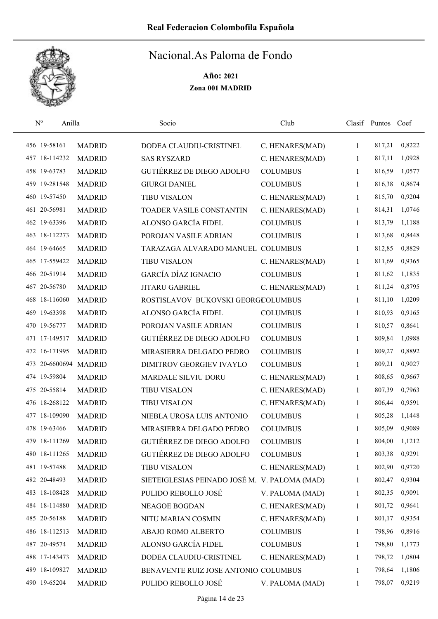

|  | $N^{o}$<br>Anilla     |               | Socio                                         | Club            |              | Clasif Puntos | Coef   |
|--|-----------------------|---------------|-----------------------------------------------|-----------------|--------------|---------------|--------|
|  | 456 19-58161          | <b>MADRID</b> | DODEA CLAUDIU-CRISTINEL                       | C. HENARES(MAD) | 1            | 817,21        | 0,8222 |
|  | 457 18-114232         | <b>MADRID</b> | <b>SAS RYSZARD</b>                            | C. HENARES(MAD) | 1            | 817,11        | 1,0928 |
|  | 458 19-63783          | <b>MADRID</b> | GUTIÉRREZ DE DIEGO ADOLFO                     | <b>COLUMBUS</b> | 1            | 816,59        | 1,0577 |
|  | 459 19-281548         | <b>MADRID</b> | <b>GIURGI DANIEL</b>                          | <b>COLUMBUS</b> | 1            | 816,38        | 0,8674 |
|  | 460 19-57450          | <b>MADRID</b> | <b>TIBU VISALON</b>                           | C. HENARES(MAD) | 1            | 815,70        | 0,9204 |
|  | 461 20-56981          | <b>MADRID</b> | TOADER VASILE CONSTANTIN                      | C. HENARES(MAD) | $\mathbf{1}$ | 814,31        | 1,0746 |
|  | 462 19-63396          | <b>MADRID</b> | ALONSO GARCÍA FIDEL                           | <b>COLUMBUS</b> | 1            | 813,79        | 1,1188 |
|  | 463 18-112273         | <b>MADRID</b> | POROJAN VASILE ADRIAN                         | <b>COLUMBUS</b> | 1            | 813,68        | 0,8448 |
|  | 464 19-64665          | <b>MADRID</b> | TARAZAGA ALVARADO MANUEL COLUMBUS             |                 | 1            | 812,85        | 0,8829 |
|  | 465 17-559422         | <b>MADRID</b> | <b>TIBU VISALON</b>                           | C. HENARES(MAD) | 1            | 811,69        | 0,9365 |
|  | 466 20-51914          | <b>MADRID</b> | <b>GARCÍA DÍAZ IGNACIO</b>                    | <b>COLUMBUS</b> | 1            | 811,62        | 1,1835 |
|  | 467 20-56780          | <b>MADRID</b> | <b>JITARU GABRIEL</b>                         | C. HENARES(MAD) | 1            | 811,24        | 0,8795 |
|  | 468 18-116060         | <b>MADRID</b> | ROSTISLAVOV BUKOVSKI GEORGCOLUMBUS            |                 | 1            | 811,10        | 1,0209 |
|  | 469 19-63398          | <b>MADRID</b> | ALONSO GARCÍA FIDEL                           | <b>COLUMBUS</b> | 1            | 810,93        | 0,9165 |
|  | 470 19-56777          | <b>MADRID</b> | POROJAN VASILE ADRIAN                         | <b>COLUMBUS</b> | 1            | 810,57        | 0,8641 |
|  | 471 17-149517         | <b>MADRID</b> | GUTIÉRREZ DE DIEGO ADOLFO                     | <b>COLUMBUS</b> | 1            | 809,84        | 1,0988 |
|  | 472 16-171995         | <b>MADRID</b> | MIRASIERRA DELGADO PEDRO                      | <b>COLUMBUS</b> | 1            | 809,27        | 0,8892 |
|  | 473 20-6600694 MADRID |               | DIMITROV GEORGIEV IVAYLO                      | <b>COLUMBUS</b> | $\mathbf{1}$ | 809,21        | 0,9027 |
|  | 474 19-59804          | <b>MADRID</b> | <b>MARDALE SILVIU DORU</b>                    | C. HENARES(MAD) | $\mathbf{1}$ | 808,65        | 0,9667 |
|  | 475 20-55814          | <b>MADRID</b> | <b>TIBU VISALON</b>                           | C. HENARES(MAD) | 1            | 807,39        | 0,7963 |
|  | 476 18-268122         | <b>MADRID</b> | <b>TIBU VISALON</b>                           | C. HENARES(MAD) | 1            | 806,44        | 0,9591 |
|  | 477 18-109090         | <b>MADRID</b> | NIEBLA UROSA LUIS ANTONIO                     | <b>COLUMBUS</b> | 1            | 805,28        | 1,1448 |
|  | 478 19-63466          | <b>MADRID</b> | MIRASIERRA DELGADO PEDRO                      | <b>COLUMBUS</b> | 1            | 805,09        | 0,9089 |
|  | 479 18-111269         | <b>MADRID</b> | <b>GUTIÉRREZ DE DIEGO ADOLFO</b>              | <b>COLUMBUS</b> | 1            | 804,00        | 1,1212 |
|  | 480 18-111265         | <b>MADRID</b> | GUTIÉRREZ DE DIEGO ADOLFO                     | <b>COLUMBUS</b> | 1            | 803,38        | 0,9291 |
|  | 481 19-57488          | <b>MADRID</b> | <b>TIBU VISALON</b>                           | C. HENARES(MAD) | 1            | 802,90        | 0,9720 |
|  | 482 20-48493          | <b>MADRID</b> | SIETEIGLESIAS PEINADO JOSÉ M. V. PALOMA (MAD) |                 | 1            | 802,47        | 0,9304 |
|  | 483 18-108428         | <b>MADRID</b> | PULIDO REBOLLO JOSÉ                           | V. PALOMA (MAD) | 1            | 802,35        | 0,9091 |
|  | 484 18-114880         | <b>MADRID</b> | NEAGOE BOGDAN                                 | C. HENARES(MAD) | 1            | 801,72        | 0,9641 |
|  | 485 20-56188          | <b>MADRID</b> | NITU MARIAN COSMIN                            | C. HENARES(MAD) | 1            | 801,17        | 0,9354 |
|  | 486 18-112513         | <b>MADRID</b> | ABAJO ROMO ALBERTO                            | <b>COLUMBUS</b> | 1            | 798,96        | 0,8916 |
|  | 487 20-49574          | <b>MADRID</b> | ALONSO GARCÍA FIDEL                           | <b>COLUMBUS</b> | 1            | 798,80        | 1,1773 |
|  | 488 17-143473         | <b>MADRID</b> | DODEA CLAUDIU-CRISTINEL                       | C. HENARES(MAD) | 1            | 798,72        | 1,0804 |
|  | 489 18-109827         | <b>MADRID</b> | BENAVENTE RUIZ JOSE ANTONIO COLUMBUS          |                 | 1            | 798,64        | 1,1806 |
|  | 490 19-65204          | <b>MADRID</b> | PULIDO REBOLLO JOSÉ                           | V. PALOMA (MAD) | 1            | 798,07        | 0,9219 |
|  |                       |               |                                               |                 |              |               |        |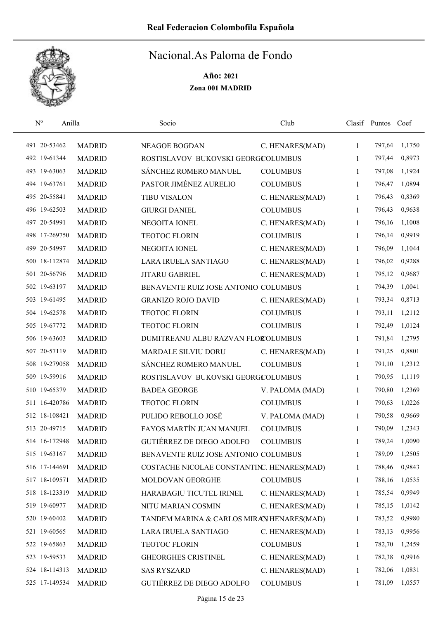

| $N^{o}$<br>Anilla |               | Socio                                      | Club            |              | Clasif Puntos Coef |        |
|-------------------|---------------|--------------------------------------------|-----------------|--------------|--------------------|--------|
| 491 20-53462      | <b>MADRID</b> | <b>NEAGOE BOGDAN</b>                       | C. HENARES(MAD) | $\mathbf{1}$ | 797,64             | 1,1750 |
| 492 19-61344      | <b>MADRID</b> | ROSTISLAVOV BUKOVSKI GEORGCOLUMBUS         |                 | 1            | 797,44             | 0,8973 |
| 493 19-63063      | <b>MADRID</b> | SÁNCHEZ ROMERO MANUEL                      | <b>COLUMBUS</b> | 1            | 797,08             | 1,1924 |
| 494 19-63761      | <b>MADRID</b> | PASTOR JIMÉNEZ AURELIO                     | <b>COLUMBUS</b> | 1            | 796,47             | 1,0894 |
| 495 20-55841      | <b>MADRID</b> | <b>TIBU VISALON</b>                        | C. HENARES(MAD) | 1            | 796,43             | 0,8369 |
| 496 19-62503      | <b>MADRID</b> | <b>GIURGI DANIEL</b>                       | <b>COLUMBUS</b> | 1            | 796,43             | 0,9638 |
| 497 20-54991      | <b>MADRID</b> | NEGOITA IONEL                              | C. HENARES(MAD) | 1            | 796,16             | 1,1008 |
| 498 17-269750     | <b>MADRID</b> | <b>TEOTOC FLORIN</b>                       | <b>COLUMBUS</b> | 1            | 796,14             | 0,9919 |
| 499 20-54997      | <b>MADRID</b> | NEGOITA IONEL                              | C. HENARES(MAD) | 1            | 796,09             | 1,1044 |
| 500 18-112874     | <b>MADRID</b> | LARA IRUELA SANTIAGO                       | C. HENARES(MAD) | $\mathbf{1}$ | 796,02             | 0,9288 |
| 501 20-56796      | <b>MADRID</b> | <b>JITARU GABRIEL</b>                      | C. HENARES(MAD) | 1            | 795,12             | 0,9687 |
| 502 19-63197      | <b>MADRID</b> | BENAVENTE RUIZ JOSE ANTONIO COLUMBUS       |                 | 1            | 794,39             | 1,0041 |
| 503 19-61495      | <b>MADRID</b> | <b>GRANIZO ROJO DAVID</b>                  | C. HENARES(MAD) | 1            | 793,34             | 0,8713 |
| 504 19-62578      | <b>MADRID</b> | <b>TEOTOC FLORIN</b>                       | <b>COLUMBUS</b> | 1            | 793,11             | 1,2112 |
| 505 19-67772      | <b>MADRID</b> | <b>TEOTOC FLORIN</b>                       | <b>COLUMBUS</b> | 1            | 792,49             | 1,0124 |
| 506 19-63603      | <b>MADRID</b> | DUMITREANU ALBU RAZVAN FLOROLUMBUS         |                 | 1            | 791,84             | 1,2795 |
| 507 20-57119      | <b>MADRID</b> | MARDALE SILVIU DORU                        | C. HENARES(MAD) | 1            | 791,25             | 0,8801 |
| 508 19-279058     | <b>MADRID</b> | SÁNCHEZ ROMERO MANUEL                      | <b>COLUMBUS</b> | 1            | 791,10             | 1,2312 |
| 509 19-59916      | <b>MADRID</b> | ROSTISLAVOV BUKOVSKI GEORGCOLUMBUS         |                 | 1            | 790,95             | 1,1119 |
| 510 19-65379      | <b>MADRID</b> | <b>BADEA GEORGE</b>                        | V. PALOMA (MAD) | 1            | 790,80             | 1,2369 |
| 511 16-420786     | <b>MADRID</b> | <b>TEOTOC FLORIN</b>                       | <b>COLUMBUS</b> | 1            | 790,63             | 1,0226 |
| 512 18-108421     | <b>MADRID</b> | PULIDO REBOLLO JOSÉ                        | V. PALOMA (MAD) | 1            | 790,58             | 0,9669 |
| 513 20-49715      | <b>MADRID</b> | FAYOS MARTÍN JUAN MANUEL                   | <b>COLUMBUS</b> | 1            | 790,09             | 1,2343 |
| 514 16-172948     | <b>MADRID</b> | <b>GUTIÉRREZ DE DIEGO ADOLFO</b>           | <b>COLUMBUS</b> | 1            | 789,24             | 1,0090 |
| 515 19-63167      | <b>MADRID</b> | BENAVENTE RUIZ JOSE ANTONIO COLUMBUS       |                 | 1            | 789,09             | 1,2505 |
| 516 17-144691     | <b>MADRID</b> | COSTACHE NICOLAE CONSTANTINC. HENARES(MAD) |                 | 1            | 788,46             | 0,9843 |
| 517 18-109571     | <b>MADRID</b> | MOLDOVAN GEORGHE                           | <b>COLUMBUS</b> | 1            | 788,16             | 1,0535 |
| 518 18-123319     | <b>MADRID</b> | HARABAGIU TICUTEL IRINEL                   | C. HENARES(MAD) | 1            | 785,54             | 0,9949 |
| 519 19-60977      | <b>MADRID</b> | NITU MARIAN COSMIN                         | C. HENARES(MAD) | 1            | 785,15             | 1,0142 |
| 520 19-60402      | <b>MADRID</b> | TANDEM MARINA & CARLOS MIRAN HENARES(MAD)  |                 | 1            | 783,52             | 0,9980 |
| 521 19-60565      | <b>MADRID</b> | LARA IRUELA SANTIAGO                       | C. HENARES(MAD) | 1            | 783,13             | 0,9956 |
| 522 19-65863      | <b>MADRID</b> | TEOTOC FLORIN                              | <b>COLUMBUS</b> | 1            | 782,70             | 1,2459 |
| 523 19-59533      | <b>MADRID</b> | <b>GHEORGHES CRISTINEL</b>                 | C. HENARES(MAD) | 1            | 782,38             | 0,9916 |
| 524 18-114313     | <b>MADRID</b> | <b>SAS RYSZARD</b>                         | C. HENARES(MAD) | 1            | 782,06             | 1,0831 |
| 525 17-149534     | <b>MADRID</b> | GUTIÉRREZ DE DIEGO ADOLFO                  | <b>COLUMBUS</b> | 1            | 781,09             | 1,0557 |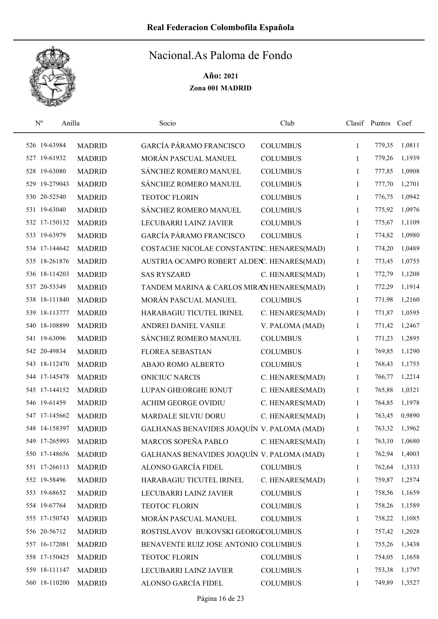

| $\mathbf{N}^{\text{o}}$ | Anilla        |               | Socio                                      | Club            |              | Clasif Puntos Coef |        |
|-------------------------|---------------|---------------|--------------------------------------------|-----------------|--------------|--------------------|--------|
|                         | 526 19-63984  | <b>MADRID</b> | GARCÍA PÁRAMO FRANCISCO                    | <b>COLUMBUS</b> | 1            | 779,35             | 1,0811 |
|                         | 527 19-61932  | <b>MADRID</b> | MORÁN PASCUAL MANUEL                       | <b>COLUMBUS</b> | 1            | 779,26             | 1,1939 |
|                         | 528 19-63080  | <b>MADRID</b> | SÁNCHEZ ROMERO MANUEL                      | <b>COLUMBUS</b> | 1            | 777,85             | 1,0908 |
|                         | 529 19-279043 | <b>MADRID</b> | SÁNCHEZ ROMERO MANUEL                      | <b>COLUMBUS</b> | 1            | 777,70             | 1,2701 |
|                         | 530 20-52540  | <b>MADRID</b> | <b>TEOTOC FLORIN</b>                       | <b>COLUMBUS</b> | 1            | 776,75             | 1,0942 |
|                         | 531 19-63040  | <b>MADRID</b> | SÁNCHEZ ROMERO MANUEL                      | <b>COLUMBUS</b> | 1            | 775,92             | 1,0976 |
|                         | 532 17-150132 | <b>MADRID</b> | LECUBARRI LAINZ JAVIER                     | <b>COLUMBUS</b> | 1            | 775,67             | 1,1109 |
|                         | 533 19-63979  | <b>MADRID</b> | <b>GARCÍA PÁRAMO FRANCISCO</b>             | <b>COLUMBUS</b> | 1            | 774,82             | 1,0980 |
|                         | 534 17-144642 | <b>MADRID</b> | COSTACHE NICOLAE CONSTANTINC. HENARES(MAD) |                 | 1            | 774,20             | 1,0489 |
|                         | 535 18-261876 | <b>MADRID</b> | AUSTRIA OCAMPO ROBERT ALDENC. HENARES(MAD) |                 | $\mathbf{1}$ | 773,45             | 1,0755 |
|                         | 536 18-114203 | <b>MADRID</b> | <b>SAS RYSZARD</b>                         | C. HENARES(MAD) | 1            | 772,79             | 1,1208 |
|                         | 537 20-53349  | <b>MADRID</b> | TANDEM MARINA & CARLOS MIRAN HENARES(MAD)  |                 | 1            | 772,29             | 1,1914 |
|                         | 538 18-111840 | <b>MADRID</b> | MORÁN PASCUAL MANUEL                       | <b>COLUMBUS</b> | 1            | 771,98             | 1,2160 |
|                         | 539 18-113777 | <b>MADRID</b> | HARABAGIU TICUTEL IRINEL                   | C. HENARES(MAD) | $\mathbf{1}$ | 771,87             | 1,0595 |
|                         | 540 18-108899 | <b>MADRID</b> | ANDREI DANIEL VASILE                       | V. PALOMA (MAD) | 1            | 771,42             | 1,2467 |
|                         | 541 19-63096  | <b>MADRID</b> | SÁNCHEZ ROMERO MANUEL                      | <b>COLUMBUS</b> | 1            | 771,23             | 1,2895 |
|                         | 542 20-49834  | <b>MADRID</b> | <b>FLOREA SEBASTIAN</b>                    | <b>COLUMBUS</b> | 1            | 769,85             | 1,1290 |
|                         | 543 18-112470 | <b>MADRID</b> | ABAJO ROMO ALBERTO                         | <b>COLUMBUS</b> | 1            | 768,43             | 1,1755 |
|                         | 544 17-145478 | <b>MADRID</b> | <b>ONICIUC NARCIS</b>                      | C. HENARES(MAD) | 1            | 766,77             | 1,2214 |
|                         | 545 17-144152 | <b>MADRID</b> | LUPAN GHEORGHE IONUT                       | C. HENARES(MAD) | 1            | 765,88             | 1,0321 |
|                         | 546 19-61459  | <b>MADRID</b> | <b>ACHIM GEORGE OVIDIU</b>                 | C. HENARES(MAD) | 1            | 764,85             | 1,1978 |
|                         | 547 17-145662 | <b>MADRID</b> | <b>MARDALE SILVIU DORU</b>                 | C. HENARES(MAD) | 1            | 763,45             | 0,9890 |
|                         | 548 14-158397 | <b>MADRID</b> | GALHANAS BENAVIDES JOAQUÍN V. PALOMA (MAD) |                 | 1            | 763,32             | 1,3962 |
|                         | 549 17-265993 | <b>MADRID</b> | MARCOS SOPEÑA PABLO                        | C. HENARES(MAD) | 1            | 763,10             | 1,0680 |
|                         | 550 17-148656 | <b>MADRID</b> | GALHANAS BENAVIDES JOAQUÍN V. PALOMA (MAD) |                 | 1            | 762,94             | 1,4003 |
|                         | 551 17-266113 | <b>MADRID</b> | ALONSO GARCÍA FIDEL                        | <b>COLUMBUS</b> | 1            | 762,64             | 1,3333 |
|                         | 552 19-58496  | <b>MADRID</b> | HARABAGIU TICUTEL IRINEL                   | C. HENARES(MAD) | 1            | 759,87             | 1,2574 |
|                         | 553 19-68652  | <b>MADRID</b> | LECUBARRI LAINZ JAVIER                     | <b>COLUMBUS</b> | 1            | 758,56             | 1,1659 |
|                         | 554 19-67764  | <b>MADRID</b> | <b>TEOTOC FLORIN</b>                       | <b>COLUMBUS</b> | 1            | 758,26             | 1,1589 |
|                         | 555 17-150743 | <b>MADRID</b> | MORÁN PASCUAL MANUEL                       | <b>COLUMBUS</b> | 1            | 758,22             | 1,1085 |
|                         | 556 20-56712  | <b>MADRID</b> | ROSTISLAVOV BUKOVSKI GEORGCOLUMBUS         |                 | 1            | 757,42             | 1,2028 |
|                         | 557 16-172081 | <b>MADRID</b> | BENAVENTE RUIZ JOSE ANTONIO COLUMBUS       |                 | 1            | 755,26             | 1,3438 |
|                         | 558 17-150425 | <b>MADRID</b> | <b>TEOTOC FLORIN</b>                       | <b>COLUMBUS</b> | 1            | 754,05             | 1,1658 |
|                         | 559 18-111147 | <b>MADRID</b> | LECUBARRI LAINZ JAVIER                     | <b>COLUMBUS</b> | 1            | 753,38             | 1,1797 |
|                         | 560 18-110200 | <b>MADRID</b> | ALONSO GARCÍA FIDEL                        | <b>COLUMBUS</b> | 1            | 749,89             | 1,3527 |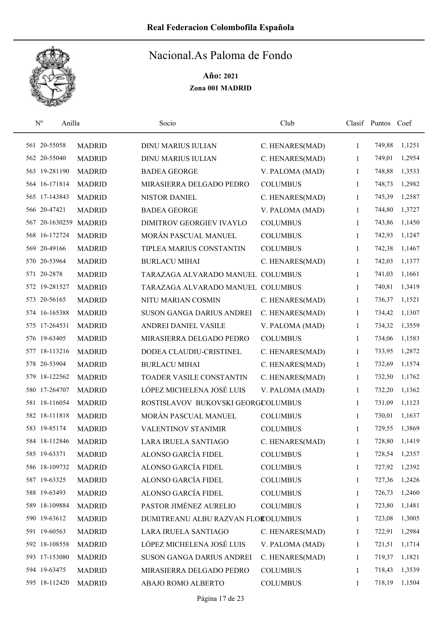

| $\mathbf{N}^{\text{o}}$ | Anilla                |               | Socio                              | Club            |              | Clasif Puntos Coef |        |
|-------------------------|-----------------------|---------------|------------------------------------|-----------------|--------------|--------------------|--------|
|                         | 561 20-55058          | <b>MADRID</b> | <b>DINU MARIUS IULIAN</b>          | C. HENARES(MAD) | $\mathbf{1}$ | 749,88             | 1,1251 |
|                         | 562 20-55040          | <b>MADRID</b> | <b>DINU MARIUS IULIAN</b>          | C. HENARES(MAD) | 1            | 749,01             | 1,2954 |
|                         | 563 19-281190         | <b>MADRID</b> | <b>BADEA GEORGE</b>                | V. PALOMA (MAD) | 1            | 748,88             | 1,3533 |
|                         | 564 16-171814         | <b>MADRID</b> | MIRASIERRA DELGADO PEDRO           | <b>COLUMBUS</b> | 1            | 748,73             | 1,2982 |
|                         | 565 17-143843         | <b>MADRID</b> | <b>NISTOR DANIEL</b>               | C. HENARES(MAD) | 1            | 745,39             | 1,2587 |
|                         | 566 20-47421          | <b>MADRID</b> | <b>BADEA GEORGE</b>                | V. PALOMA (MAD) | 1            | 744,80             | 1,3727 |
|                         | 567 20-1630259 MADRID |               | DIMITROV GEORGIEV IVAYLO           | <b>COLUMBUS</b> | 1            | 743,86             | 1,1450 |
|                         | 568 16-172724         | <b>MADRID</b> | MORÁN PASCUAL MANUEL               | <b>COLUMBUS</b> | 1            | 742,93             | 1,1247 |
|                         | 569 20-49166          | <b>MADRID</b> | TIPLEA MARIUS CONSTANTIN           | <b>COLUMBUS</b> | 1            | 742,38             | 1,1467 |
|                         | 570 20-53964          | <b>MADRID</b> | <b>BURLACU MIHAI</b>               | C. HENARES(MAD) | $\mathbf{1}$ | 742,03             | 1,1377 |
|                         | 571 20-2878           | <b>MADRID</b> | TARAZAGA ALVARADO MANUEL COLUMBUS  |                 | 1            | 741,03             | 1,1661 |
|                         | 572 19-281527         | <b>MADRID</b> | TARAZAGA ALVARADO MANUEL COLUMBUS  |                 | 1            | 740,81             | 1,3419 |
|                         | 573 20-56165          | <b>MADRID</b> | NITU MARIAN COSMIN                 | C. HENARES(MAD) | 1            | 736,37             | 1,1521 |
|                         | 574 16-165388         | <b>MADRID</b> | SUSON GANGA DARIUS ANDREI          | C. HENARES(MAD) | 1            | 734,42             | 1,1307 |
|                         | 575 17-264531         | <b>MADRID</b> | ANDREI DANIEL VASILE               | V. PALOMA (MAD) | 1            | 734,32             | 1,3559 |
|                         | 576 19-63405          | <b>MADRID</b> | MIRASIERRA DELGADO PEDRO           | <b>COLUMBUS</b> | 1            | 734,06             | 1,1583 |
|                         | 577 18-113216         | <b>MADRID</b> | DODEA CLAUDIU-CRISTINEL            | C. HENARES(MAD) | 1            | 733,95             | 1,2872 |
|                         | 578 20-53904          | <b>MADRID</b> | <b>BURLACU MIHAI</b>               | C. HENARES(MAD) | $\mathbf{1}$ | 732,69             | 1,1574 |
|                         | 579 18-122562         | <b>MADRID</b> | TOADER VASILE CONSTANTIN           | C. HENARES(MAD) | 1            | 732,50             | 1,1762 |
|                         | 580 17-264707         | <b>MADRID</b> | LÓPEZ MICHELENA JOSÉ LUIS          | V. PALOMA (MAD) | 1            | 732,20             | 1,1362 |
|                         | 581 18-116054         | <b>MADRID</b> | ROSTISLAVOV BUKOVSKI GEORGCOLUMBUS |                 | $\mathbf{1}$ | 731,09             | 1,1123 |
|                         | 582 18-111818         | <b>MADRID</b> | MORÁN PASCUAL MANUEL               | <b>COLUMBUS</b> | 1            | 730,01             | 1,1637 |
|                         | 583 19-85174          | <b>MADRID</b> | VALENTINOV STANIMIR                | <b>COLUMBUS</b> | 1            | 729,55             | 1,3869 |
|                         | 584 18-112846         | <b>MADRID</b> | LARA IRUELA SANTIAGO               | C. HENARES(MAD) | 1            | 728,80             | 1,1419 |
|                         | 585 19-63371          | <b>MADRID</b> | ALONSO GARCÍA FIDEL                | <b>COLUMBUS</b> | 1            | 728,54             | 1,2357 |
|                         | 586 18-109732         | <b>MADRID</b> | ALONSO GARCÍA FIDEL                | <b>COLUMBUS</b> | 1            | 727,92             | 1,2392 |
|                         | 587 19-63325          | <b>MADRID</b> | ALONSO GARCÍA FIDEL                | <b>COLUMBUS</b> | 1            | 727,36             | 1,2426 |
|                         | 588 19-63493          | <b>MADRID</b> | ALONSO GARCÍA FIDEL                | <b>COLUMBUS</b> | 1            | 726,73             | 1,2460 |
|                         | 589 18-109884         | <b>MADRID</b> | PASTOR JIMÉNEZ AURELIO             | <b>COLUMBUS</b> | 1            | 723,80             | 1,1481 |
|                         | 590 19-63612          | <b>MADRID</b> | DUMITREANU ALBU RAZVAN FLOROLUMBUS |                 | 1            | 723,08             | 1,3005 |
|                         | 591 19-60563          | <b>MADRID</b> | LARA IRUELA SANTIAGO               | C. HENARES(MAD) | 1            | 722,91             | 1,2984 |
|                         | 592 18-108558         | <b>MADRID</b> | LÓPEZ MICHELENA JOSÉ LUIS          | V. PALOMA (MAD) | 1            | 721,51             | 1,1714 |
|                         | 593 17-153080         | <b>MADRID</b> | SUSON GANGA DARIUS ANDREI          | C. HENARES(MAD) | 1            | 719,37             | 1,1821 |
|                         | 594 19-63475          | <b>MADRID</b> | MIRASIERRA DELGADO PEDRO           | <b>COLUMBUS</b> | 1            | 718,43             | 1,3539 |
|                         | 595 18-112420         | <b>MADRID</b> | ABAJO ROMO ALBERTO                 | <b>COLUMBUS</b> | 1            | 718,19             | 1,1504 |
|                         |                       |               |                                    |                 |              |                    |        |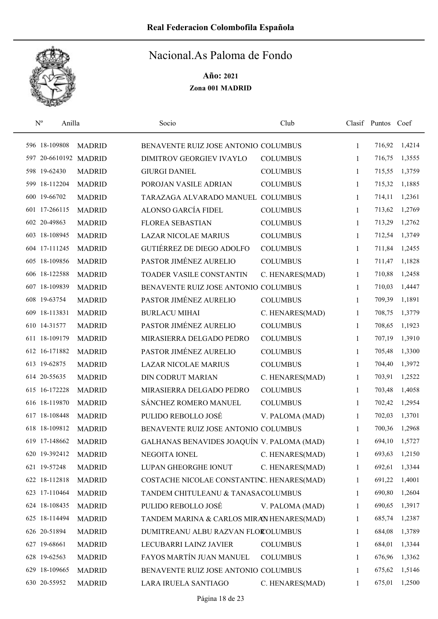

| $\mathbf{N}^{\text{o}}$<br>Anilla |               | Socio                                      | Club            |              | Clasif Puntos Coef |        |
|-----------------------------------|---------------|--------------------------------------------|-----------------|--------------|--------------------|--------|
| 596 18-109808                     | <b>MADRID</b> | BENAVENTE RUIZ JOSE ANTONIO COLUMBUS       |                 | 1            | 716,92             | 1,4214 |
| 597 20-6610192 MADRID             |               | DIMITROV GEORGIEV IVAYLO                   | <b>COLUMBUS</b> | 1            | 716,75             | 1,3555 |
| 598 19-62430                      | <b>MADRID</b> | <b>GIURGI DANIEL</b>                       | <b>COLUMBUS</b> | 1            | 715,55             | 1,3759 |
| 599 18-112204                     | <b>MADRID</b> | POROJAN VASILE ADRIAN                      | <b>COLUMBUS</b> | 1            | 715,32             | 1,1885 |
| 600 19-66702                      | <b>MADRID</b> | TARAZAGA ALVARADO MANUEL COLUMBUS          |                 | $\mathbf{1}$ | 714,11             | 1,2361 |
| 601 17-266115                     | <b>MADRID</b> | ALONSO GARCÍA FIDEL                        | <b>COLUMBUS</b> | 1            | 713,62             | 1,2769 |
| 602 20-49863                      | <b>MADRID</b> | <b>FLOREA SEBASTIAN</b>                    | <b>COLUMBUS</b> | 1            | 713,29             | 1,2762 |
| 603 18-108945                     | <b>MADRID</b> | <b>LAZAR NICOLAE MARIUS</b>                | <b>COLUMBUS</b> | 1            | 712,54             | 1,3749 |
| 604 17-111245                     | <b>MADRID</b> | <b>GUTIÉRREZ DE DIEGO ADOLFO</b>           | <b>COLUMBUS</b> | 1            | 711,84             | 1,2455 |
| 605 18-109856                     | <b>MADRID</b> | PASTOR JIMÉNEZ AURELIO                     | <b>COLUMBUS</b> | 1            | 711,47             | 1,1828 |
| 606 18-122588                     | <b>MADRID</b> | <b>TOADER VASILE CONSTANTIN</b>            | C. HENARES(MAD) | 1            | 710,88             | 1,2458 |
| 607 18-109839                     | <b>MADRID</b> | BENAVENTE RUIZ JOSE ANTONIO COLUMBUS       |                 | 1            | 710,03             | 1,4447 |
| 608 19-63754                      | <b>MADRID</b> | PASTOR JIMÉNEZ AURELIO                     | <b>COLUMBUS</b> | 1            | 709,39             | 1,1891 |
| 609 18-113831                     | <b>MADRID</b> | <b>BURLACU MIHAI</b>                       | C. HENARES(MAD) | 1            | 708,75             | 1,3779 |
| 610 14-31577                      | <b>MADRID</b> | PASTOR JIMÉNEZ AURELIO                     | <b>COLUMBUS</b> | 1            | 708,65             | 1,1923 |
| 611 18-109179                     | <b>MADRID</b> | MIRASIERRA DELGADO PEDRO                   | <b>COLUMBUS</b> | 1            | 707,19             | 1,3910 |
| 612 16-171882                     | <b>MADRID</b> | PASTOR JIMÉNEZ AURELIO                     | <b>COLUMBUS</b> | 1            | 705,48             | 1,3300 |
| 613 19-62875                      | <b>MADRID</b> | <b>LAZAR NICOLAE MARIUS</b>                | <b>COLUMBUS</b> | 1            | 704,40             | 1,3972 |
| 614 20-55635                      | <b>MADRID</b> | <b>DIN CODRUT MARIAN</b>                   | C. HENARES(MAD) | 1            | 703,91             | 1,2522 |
| 615 16-172228                     | <b>MADRID</b> | MIRASIERRA DELGADO PEDRO                   | <b>COLUMBUS</b> | 1            | 703,48             | 1,4058 |
| 616 18-119870                     | <b>MADRID</b> | SÁNCHEZ ROMERO MANUEL                      | <b>COLUMBUS</b> | $\mathbf{1}$ | 702,42             | 1,2954 |
| 617 18-108448                     | <b>MADRID</b> | PULIDO REBOLLO JOSÉ                        | V. PALOMA (MAD) | 1            | 702,03             | 1,3701 |
| 618 18-109812                     | <b>MADRID</b> | BENAVENTE RUIZ JOSE ANTONIO COLUMBUS       |                 | 1            | 700,36             | 1,2968 |
| 619 17-148662                     | <b>MADRID</b> | GALHANAS BENAVIDES JOAQUÍN V. PALOMA (MAD) |                 | 1            | 694,10             | 1,5727 |
| 620 19-392412                     | <b>MADRID</b> | NEGOITA IONEL                              | C. HENARES(MAD) | 1            | 693,63             | 1,2150 |
| 621 19-57248                      | <b>MADRID</b> | LUPAN GHEORGHE IONUT                       | C. HENARES(MAD) | 1            | 692,61             | 1,3344 |
| 622 18-112818                     | <b>MADRID</b> | COSTACHE NICOLAE CONSTANTINC. HENARES(MAD) |                 | 1            | 691,22             | 1,4001 |
| 623 17-110464                     | <b>MADRID</b> | TANDEM CHITULEANU & TANASACOLUMBUS         |                 | 1            | 690,80             | 1,2604 |
| 624 18-108435                     | <b>MADRID</b> | PULIDO REBOLLO JOSÉ                        | V. PALOMA (MAD) | 1            | 690,65             | 1,3917 |
| 625 18-114494                     | <b>MADRID</b> | TANDEM MARINA & CARLOS MIRAN HENARES(MAD)  |                 | 1            | 685,74             | 1,2387 |
| 626 20-51894                      | <b>MADRID</b> | DUMITREANU ALBU RAZVAN FLOROLUMBUS         |                 | 1            | 684,08             | 1,3789 |
| 627 19-68661                      | <b>MADRID</b> | LECUBARRI LAINZ JAVIER                     | <b>COLUMBUS</b> | 1            | 684,01             | 1,3344 |
| 628 19-62563                      | <b>MADRID</b> | FAYOS MARTÍN JUAN MANUEL                   | <b>COLUMBUS</b> | 1            | 676,96             | 1,3362 |
| 629 18-109665                     | <b>MADRID</b> | BENAVENTE RUIZ JOSE ANTONIO COLUMBUS       |                 | 1            | 675,62             | 1,5146 |
| 630 20-55952                      | <b>MADRID</b> | LARA IRUELA SANTIAGO                       | C. HENARES(MAD) | 1            | 675,01             | 1,2500 |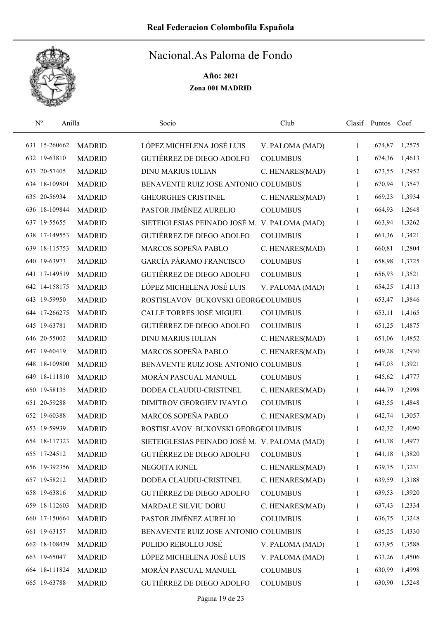

| $\mathbf{N}^{\text{o}}$ | Anilla |               | Socio                                         | Club            |              | Clasif Puntos Coef |        |
|-------------------------|--------|---------------|-----------------------------------------------|-----------------|--------------|--------------------|--------|
| 631 15-260662           |        | <b>MADRID</b> | LÓPEZ MICHELENA JOSÉ LUIS                     | V. PALOMA (MAD) | $\mathbf{1}$ | 674,87             | 1,2575 |
| 632 19-63810            |        | <b>MADRID</b> | <b>GUTIÉRREZ DE DIEGO ADOLFO</b>              | <b>COLUMBUS</b> | 1            | 674,36             | 1,4613 |
| 633 20-57405            |        | <b>MADRID</b> | <b>DINU MARIUS IULIAN</b>                     | C. HENARES(MAD) | 1            | 673,55             | 1,2952 |
| 634 18-109801           |        | <b>MADRID</b> | BENAVENTE RUIZ JOSE ANTONIO COLUMBUS          |                 | $\mathbf{1}$ | 670,94             | 1,3547 |
| 635 20-56934            |        | <b>MADRID</b> | <b>GHEORGHES CRISTINEL</b>                    | C. HENARES(MAD) | 1            | 669,23             | 1,3934 |
| 636 18-109844           |        | <b>MADRID</b> | PASTOR JIMÉNEZ AURELIO                        | <b>COLUMBUS</b> | 1            | 664,93             | 1,2648 |
| 637 19-55655            |        | <b>MADRID</b> | SIETEIGLESIAS PEINADO JOSÉ M. V. PALOMA (MAD) |                 | 1            | 663,94             | 1,3262 |
| 638 17-149553           |        | <b>MADRID</b> | GUTIÉRREZ DE DIEGO ADOLFO                     | <b>COLUMBUS</b> | $\mathbf{1}$ | 661,36             | 1,3421 |
| 639 18-115753           |        | <b>MADRID</b> | MARCOS SOPEÑA PABLO                           | C. HENARES(MAD) | 1            | 660,81             | 1,2804 |
| 640 19-63973            |        | <b>MADRID</b> | <b>GARCÍA PÁRAMO FRANCISCO</b>                | <b>COLUMBUS</b> | 1            | 658,98             | 1,3725 |
| 641 17-149519           |        | <b>MADRID</b> | <b>GUTIÉRREZ DE DIEGO ADOLFO</b>              | <b>COLUMBUS</b> | 1            | 656,93             | 1,3521 |
| 642 14-158175           |        | <b>MADRID</b> | LÓPEZ MICHELENA JOSÉ LUIS                     | V. PALOMA (MAD) | 1            | 654,25             | 1,4113 |
| 643 19-59950            |        | <b>MADRID</b> | ROSTISLAVOV BUKOVSKI GEORGCOLUMBUS            |                 | 1            | 653,47             | 1,3846 |
| 644 17-266275           |        | <b>MADRID</b> | CALLE TORRES JOSÉ MIGUEL                      | <b>COLUMBUS</b> | $\mathbf{1}$ | 653,11             | 1,4165 |
| 645 19-63781            |        | <b>MADRID</b> | <b>GUTIÉRREZ DE DIEGO ADOLFO</b>              | <b>COLUMBUS</b> | 1            | 651,25             | 1,4875 |
| 646 20-55002            |        | <b>MADRID</b> | <b>DINU MARIUS IULIAN</b>                     | C. HENARES(MAD) | 1            | 651,06             | 1,4852 |
| 647 19-60419            |        | <b>MADRID</b> | MARCOS SOPEÑA PABLO                           | C. HENARES(MAD) | 1            | 649,28             | 1,2930 |
| 648 18-109800           |        | <b>MADRID</b> | BENAVENTE RUIZ JOSE ANTONIO COLUMBUS          |                 | $\mathbf{1}$ | 647,03             | 1,3921 |
| 649 18-111810           |        | <b>MADRID</b> | MORÁN PASCUAL MANUEL                          | <b>COLUMBUS</b> | $\mathbf{1}$ | 645,62             | 1,4777 |
| 650 19-58135            |        | <b>MADRID</b> | DODEA CLAUDIU-CRISTINEL                       | C. HENARES(MAD) | 1            | 644,79             | 1,2998 |
| 651 20-59288            |        | <b>MADRID</b> | DIMITROV GEORGIEV IVAYLO                      | <b>COLUMBUS</b> | $\mathbf{1}$ | 643,55             | 1,4848 |
| 652 19-60388            |        | <b>MADRID</b> | MARCOS SOPEÑA PABLO                           | C. HENARES(MAD) | 1            | 642,74             | 1,3057 |
| 653 19-59939            |        | <b>MADRID</b> | ROSTISLAVOV BUKOVSKI GEORGCOLUMBUS            |                 | 1            | 642,32             | 1,4090 |
| 654 18-117323           |        | <b>MADRID</b> | SIETEIGLESIAS PEINADO JOSÉ M. V. PALOMA (MAD) |                 | 1            | 641,78             | 1,4977 |
| 655 17-24512            |        | <b>MADRID</b> | GUTIÉRREZ DE DIEGO ADOLFO                     | <b>COLUMBUS</b> | 1            | 641,18             | 1,3820 |
| 656 19-392356           |        | <b>MADRID</b> | NEGOITA IONEL                                 | C. HENARES(MAD) | 1            | 639,75             | 1,3231 |
| 657 19-58212            |        | <b>MADRID</b> | DODEA CLAUDIU-CRISTINEL                       | C. HENARES(MAD) | 1            | 639,59             | 1,3188 |
| 658 19-63816            |        | <b>MADRID</b> | <b>GUTIÉRREZ DE DIEGO ADOLFO</b>              | <b>COLUMBUS</b> | $\mathbf{1}$ | 639,53             | 1,3920 |
| 659 18-112603           |        | <b>MADRID</b> | MARDALE SILVIU DORU                           | C. HENARES(MAD) | 1            | 637,43             | 1,2334 |
| 660 17-150664           |        | <b>MADRID</b> | PASTOR JIMÉNEZ AURELIO                        | <b>COLUMBUS</b> | 1            | 636,75             | 1,3248 |
| 661 19-63157            |        | <b>MADRID</b> | BENAVENTE RUIZ JOSE ANTONIO COLUMBUS          |                 | 1            | 635,25             | 1,4330 |
| 662 18-108439           |        | <b>MADRID</b> | PULIDO REBOLLO JOSÉ                           | V. PALOMA (MAD) | $\mathbf{1}$ | 633,95             | 1,3588 |
| 663 19-65047            |        | <b>MADRID</b> | LÓPEZ MICHELENA JOSÉ LUIS                     | V. PALOMA (MAD) | $\mathbf{1}$ | 633,26             | 1,4506 |
| 664 18-111824           |        | <b>MADRID</b> | MORÁN PASCUAL MANUEL                          | <b>COLUMBUS</b> | 1            | 630,99             | 1,4998 |
| 665 19-63788            |        | <b>MADRID</b> | GUTIÉRREZ DE DIEGO ADOLFO                     | <b>COLUMBUS</b> | 1            | 630,90             | 1,5248 |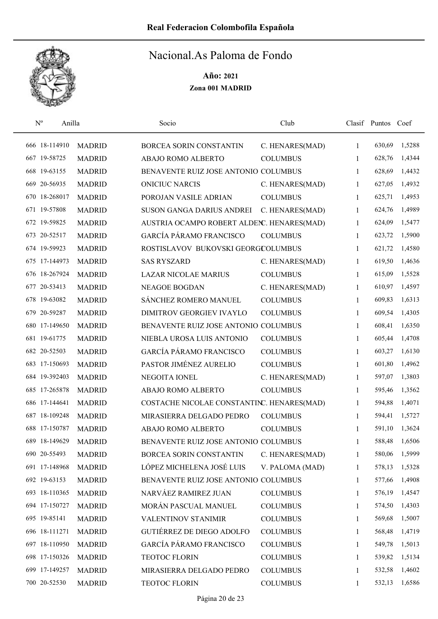

| $N^{\rm o}$   | Anilla |               | Socio                                      | Club            |              | Clasif Puntos | Coef   |
|---------------|--------|---------------|--------------------------------------------|-----------------|--------------|---------------|--------|
| 666 18-114910 |        | <b>MADRID</b> | BORCEA SORIN CONSTANTIN                    | C. HENARES(MAD) | 1            | 630,69        | 1,5288 |
| 667 19-58725  |        | <b>MADRID</b> | ABAJO ROMO ALBERTO                         | <b>COLUMBUS</b> | 1            | 628,76        | 1,4344 |
| 668 19-63155  |        | <b>MADRID</b> | BENAVENTE RUIZ JOSE ANTONIO COLUMBUS       |                 | 1            | 628,69        | 1,4432 |
| 669 20-56935  |        | <b>MADRID</b> | <b>ONICIUC NARCIS</b>                      | C. HENARES(MAD) | 1            | 627,05        | 1,4932 |
| 670 18-268017 |        | <b>MADRID</b> | POROJAN VASILE ADRIAN                      | <b>COLUMBUS</b> | 1            | 625,71        | 1,4953 |
| 671 19-57808  |        | <b>MADRID</b> | SUSON GANGA DARIUS ANDREI                  | C. HENARES(MAD) | $\mathbf{1}$ | 624,76        | 1,4989 |
| 672 19-59825  |        | <b>MADRID</b> | AUSTRIA OCAMPO ROBERT ALDENC. HENARES(MAD) |                 | 1            | 624,09        | 1,5477 |
| 673 20-52517  |        | <b>MADRID</b> | <b>GARCÍA PÁRAMO FRANCISCO</b>             | <b>COLUMBUS</b> | 1            | 623,72        | 1,5900 |
| 674 19-59923  |        | <b>MADRID</b> | ROSTISLAVOV BUKOVSKI GEORGCOLUMBUS         |                 | 1            | 621,72        | 1,4580 |
| 675 17-144973 |        | <b>MADRID</b> | <b>SAS RYSZARD</b>                         | C. HENARES(MAD) | 1            | 619,50        | 1,4636 |
| 676 18-267924 |        | <b>MADRID</b> | <b>LAZAR NICOLAE MARIUS</b>                | <b>COLUMBUS</b> | 1            | 615,09        | 1,5528 |
| 677 20-53413  |        | <b>MADRID</b> | <b>NEAGOE BOGDAN</b>                       | C. HENARES(MAD) | 1            | 610,97        | 1,4597 |
| 678 19-63082  |        | <b>MADRID</b> | SÁNCHEZ ROMERO MANUEL                      | <b>COLUMBUS</b> | 1            | 609,83        | 1,6313 |
| 679 20-59287  |        | <b>MADRID</b> | <b>DIMITROV GEORGIEV IVAYLO</b>            | <b>COLUMBUS</b> | 1            | 609,54        | 1,4305 |
| 680 17-149650 |        | <b>MADRID</b> | BENAVENTE RUIZ JOSE ANTONIO COLUMBUS       |                 | 1            | 608,41        | 1,6350 |
| 681 19-61775  |        | <b>MADRID</b> | NIEBLA UROSA LUIS ANTONIO                  | <b>COLUMBUS</b> | 1            | 605,44        | 1,4708 |
| 682 20-52503  |        | <b>MADRID</b> | <b>GARCÍA PÁRAMO FRANCISCO</b>             | <b>COLUMBUS</b> | 1            | 603,27        | 1,6130 |
| 683 17-150693 |        | <b>MADRID</b> | PASTOR JIMÉNEZ AURELIO                     | <b>COLUMBUS</b> | 1            | 601,80        | 1,4962 |
| 684 19-392403 |        | <b>MADRID</b> | NEGOITA IONEL                              | C. HENARES(MAD) | 1            | 597,07        | 1,3803 |
| 685 17-265878 |        | <b>MADRID</b> | ABAJO ROMO ALBERTO                         | <b>COLUMBUS</b> | 1            | 595,46        | 1,3562 |
| 686 17-144641 |        | <b>MADRID</b> | COSTACHE NICOLAE CONSTANTINC. HENARES(MAD) |                 | 1            | 594,88        | 1,4071 |
| 687 18-109248 |        | <b>MADRID</b> | MIRASIERRA DELGADO PEDRO                   | <b>COLUMBUS</b> | 1            | 594,41        | 1,5727 |
| 688 17-150787 |        | <b>MADRID</b> | ABAJO ROMO ALBERTO                         | <b>COLUMBUS</b> | 1            | 591,10        | 1,3624 |
| 689 18-149629 |        | <b>MADRID</b> | BENAVENTE RUIZ JOSE ANTONIO COLUMBUS       |                 | 1            | 588,48        | 1,6506 |
| 690 20-55493  |        | <b>MADRID</b> | BORCEA SORIN CONSTANTIN                    | C. HENARES(MAD) | 1            | 580,06        | 1,5999 |
| 691 17-148968 |        | <b>MADRID</b> | LÓPEZ MICHELENA JOSÉ LUIS                  | V. PALOMA (MAD) | 1            | 578,13        | 1,5328 |
| 692 19-63153  |        | <b>MADRID</b> | BENAVENTE RUIZ JOSE ANTONIO COLUMBUS       |                 | 1            | 577,66        | 1,4908 |
| 693 18-110365 |        | <b>MADRID</b> | NARVÁEZ RAMIREZ JUAN                       | <b>COLUMBUS</b> | 1            | 576,19        | 1,4547 |
| 694 17-150727 |        | <b>MADRID</b> | MORÁN PASCUAL MANUEL                       | <b>COLUMBUS</b> | 1            | 574,50        | 1,4303 |
| 695 19-85141  |        | <b>MADRID</b> | VALENTINOV STANIMIR                        | <b>COLUMBUS</b> | 1            | 569,68        | 1,5007 |
| 696 18-111271 |        | <b>MADRID</b> | <b>GUTIÉRREZ DE DIEGO ADOLFO</b>           | <b>COLUMBUS</b> | 1            | 568,48        | 1,4719 |
| 697 18-110950 |        | <b>MADRID</b> | GARCÍA PÁRAMO FRANCISCO                    | <b>COLUMBUS</b> | 1            | 549,78        | 1,5013 |
| 698 17-150326 |        | <b>MADRID</b> | TEOTOC FLORIN                              | <b>COLUMBUS</b> | 1            | 539,82        | 1,5134 |
| 699 17-149257 |        | <b>MADRID</b> | MIRASIERRA DELGADO PEDRO                   | <b>COLUMBUS</b> | 1            | 532,58        | 1,4602 |
| 700 20-52530  |        | <b>MADRID</b> | TEOTOC FLORIN                              | <b>COLUMBUS</b> | 1            | 532,13        | 1,6586 |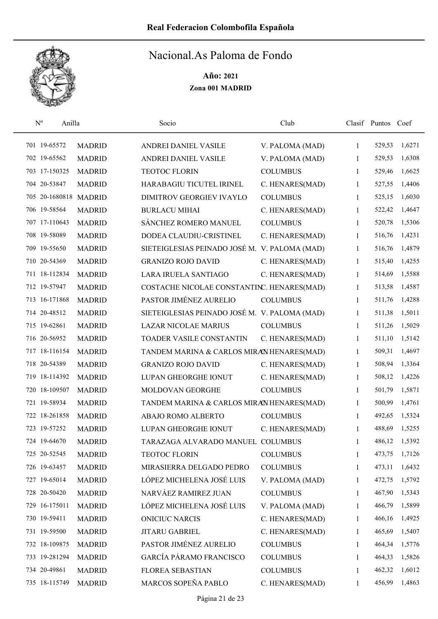

| $\mathbf{N}^{\text{o}}$<br>Anilla |               | Socio                                         | Club            |              | Clasif Puntos Coef |        |
|-----------------------------------|---------------|-----------------------------------------------|-----------------|--------------|--------------------|--------|
| 701 19-65572                      | <b>MADRID</b> | ANDREI DANIEL VASILE                          | V. PALOMA (MAD) | $\mathbf{1}$ | 529,53             | 1,6271 |
| 702 19-65562                      | <b>MADRID</b> | ANDREI DANIEL VASILE                          | V. PALOMA (MAD) | 1            | 529,53             | 1,6308 |
| 703 17-150325                     | <b>MADRID</b> | <b>TEOTOC FLORIN</b>                          | <b>COLUMBUS</b> | 1            | 529,46             | 1,6625 |
| 704 20-53847                      | <b>MADRID</b> | HARABAGIU TICUTEL IRINEL                      | C. HENARES(MAD) | 1            | 527,55             | 1,4406 |
| 705 20-1680818 MADRID             |               | DIMITROV GEORGIEV IVAYLO                      | <b>COLUMBUS</b> | 1            | 525,15             | 1,6030 |
| 706 19-58564                      | <b>MADRID</b> | <b>BURLACU MIHAI</b>                          | C. HENARES(MAD) | 1            | 522,42             | 1,4647 |
| 707 17-110643                     | <b>MADRID</b> | SÁNCHEZ ROMERO MANUEL                         | <b>COLUMBUS</b> | 1            | 520,78             | 1,5306 |
| 708 19-58089                      | <b>MADRID</b> | DODEA CLAUDIU-CRISTINEL                       | C. HENARES(MAD) | 1            | 516,76             | 1,4231 |
| 709 19-55650                      | <b>MADRID</b> | SIETEIGLESIAS PEINADO JOSÉ M. V. PALOMA (MAD) |                 | 1            | 516,76             | 1,4879 |
| 710 20-54369                      | <b>MADRID</b> | <b>GRANIZO ROJO DAVID</b>                     | C. HENARES(MAD) | 1            | 515,40             | 1,4255 |
| 711 18-112834                     | <b>MADRID</b> | LARA IRUELA SANTIAGO                          | C. HENARES(MAD) | 1            | 514,69             | 1,5588 |
| 712 19-57947                      | <b>MADRID</b> | COSTACHE NICOLAE CONSTANTINC. HENARES(MAD)    |                 | 1            | 513,58             | 1,4587 |
| 713 16-171868                     | <b>MADRID</b> | PASTOR JIMÉNEZ AURELIO                        | <b>COLUMBUS</b> | 1            | 511,76             | 1,4288 |
| 714 20-48512                      | <b>MADRID</b> | SIETEIGLESIAS PEINADO JOSÉ M. V. PALOMA (MAD) |                 | 1            | 511,38             | 1,5011 |
| 715 19-62861                      | <b>MADRID</b> | <b>LAZAR NICOLAE MARIUS</b>                   | <b>COLUMBUS</b> | $\mathbf{1}$ | 511,26             | 1,5029 |
| 716 20-56952                      | <b>MADRID</b> | TOADER VASILE CONSTANTIN                      | C. HENARES(MAD) | 1            | 511,10             | 1,5142 |
| 717 18-116154                     | <b>MADRID</b> | TANDEM MARINA & CARLOS MIRAN HENARES(MAD)     |                 | 1            | 509,31             | 1,4697 |
| 718 20-54389                      | <b>MADRID</b> | <b>GRANIZO ROJO DAVID</b>                     | C. HENARES(MAD) | 1            | 508,94             | 1,3364 |
| 719 18-114392                     | <b>MADRID</b> | LUPAN GHEORGHE IONUT                          | C. HENARES(MAD) | 1            | 508,12             | 1,4226 |
| 720 18-109507                     | <b>MADRID</b> | MOLDOVAN GEORGHE                              | <b>COLUMBUS</b> | 1            | 501,79             | 1,5871 |
| 721 19-58934                      | <b>MADRID</b> | TANDEM MARINA & CARLOS MIRAN HENARES(MAD)     |                 | 1            | 500,99             | 1,4761 |
| 722 18-261858                     | <b>MADRID</b> | ABAJO ROMO ALBERTO                            | <b>COLUMBUS</b> | 1            | 492,65             | 1,5324 |
| 723 19-57252                      | <b>MADRID</b> | LUPAN GHEORGHE IONUT                          | C. HENARES(MAD) | 1            | 488,69             | 1,5255 |
| 724 19-64670                      | <b>MADRID</b> | TARAZAGA ALVARADO MANUEL COLUMBUS             |                 | 1            | 486,12             | 1,5392 |
| 725 20-52545                      | <b>MADRID</b> | <b>TEOTOC FLORIN</b>                          | <b>COLUMBUS</b> | 1            | 473,75             | 1,7126 |
| 726 19-63457                      | <b>MADRID</b> | MIRASIERRA DELGADO PEDRO                      | <b>COLUMBUS</b> | 1            | 473,11             | 1,6432 |
| 727 19-65014                      | <b>MADRID</b> | LÓPEZ MICHELENA JOSÉ LUIS                     | V. PALOMA (MAD) | 1            | 472,75             | 1,5792 |
| 728 20-50420                      | <b>MADRID</b> | NARVÁEZ RAMIREZ JUAN                          | <b>COLUMBUS</b> | 1            | 467,90             | 1,5343 |
| 729 16-175011                     | <b>MADRID</b> | LÓPEZ MICHELENA JOSÉ LUIS                     | V. PALOMA (MAD) | 1            | 466,79             | 1,5899 |
| 730 19-59411                      | <b>MADRID</b> | <b>ONICIUC NARCIS</b>                         | C. HENARES(MAD) | 1            | 466,16             | 1,4925 |
| 731 19-59500                      | <b>MADRID</b> | JITARU GABRIEL                                | C. HENARES(MAD) | 1            | 465,69             | 1,5407 |
| 732 18-109875                     | <b>MADRID</b> | PASTOR JIMÉNEZ AURELIO                        | <b>COLUMBUS</b> | 1            | 464,34             | 1,5776 |
| 733 19-281294                     | <b>MADRID</b> | <b>GARCÍA PÁRAMO FRANCISCO</b>                | <b>COLUMBUS</b> | 1            | 464,33             | 1,5826 |
| 734 20-49861                      | <b>MADRID</b> | <b>FLOREA SEBASTIAN</b>                       | <b>COLUMBUS</b> | 1            | 462,32             | 1,6012 |
| 735 18-115749                     | <b>MADRID</b> | MARCOS SOPEÑA PABLO                           | C. HENARES(MAD) | 1            | 456,99             | 1,4863 |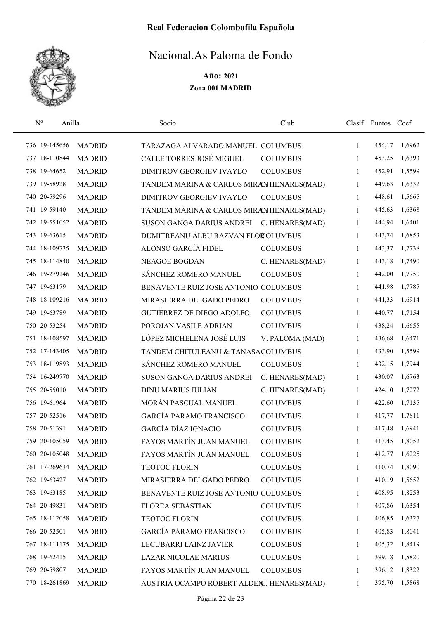

| $N^{\rm o}$   | Anilla        | Socio                                      | Club            |   | Clasif Puntos Coef |        |
|---------------|---------------|--------------------------------------------|-----------------|---|--------------------|--------|
| 736 19-145656 | <b>MADRID</b> | TARAZAGA ALVARADO MANUEL COLUMBUS          |                 | 1 | 454,17             | 1,6962 |
| 737 18-110844 | <b>MADRID</b> | <b>CALLE TORRES JOSÉ MIGUEL</b>            | <b>COLUMBUS</b> | 1 | 453,25             | 1,6393 |
| 738 19-64652  | <b>MADRID</b> | DIMITROV GEORGIEV IVAYLO                   | <b>COLUMBUS</b> | 1 | 452,91             | 1,5599 |
| 739 19-58928  | <b>MADRID</b> | TANDEM MARINA & CARLOS MIRAN HENARES(MAD)  |                 | 1 | 449,63             | 1,6332 |
| 740 20-59296  | <b>MADRID</b> | DIMITROV GEORGIEV IVAYLO                   | <b>COLUMBUS</b> | 1 | 448,61             | 1,5665 |
| 741 19-59140  | <b>MADRID</b> | TANDEM MARINA & CARLOS MIRAN HENARES(MAD)  |                 | 1 | 445,63             | 1,6368 |
| 742 19-551052 | <b>MADRID</b> | SUSON GANGA DARIUS ANDREI                  | C. HENARES(MAD) | 1 | 444,94             | 1,6401 |
| 743 19-63615  | <b>MADRID</b> | DUMITREANU ALBU RAZVAN FLOROLUMBUS         |                 | 1 | 443,74             | 1,6853 |
| 744 18-109735 | <b>MADRID</b> | ALONSO GARCÍA FIDEL                        | <b>COLUMBUS</b> | 1 | 443,37             | 1,7738 |
| 745 18-114840 | <b>MADRID</b> | <b>NEAGOE BOGDAN</b>                       | C. HENARES(MAD) | 1 | 443,18             | 1,7490 |
| 746 19-279146 | <b>MADRID</b> | SÁNCHEZ ROMERO MANUEL                      | <b>COLUMBUS</b> | 1 | 442,00             | 1,7750 |
| 747 19-63179  | <b>MADRID</b> | BENAVENTE RUIZ JOSE ANTONIO COLUMBUS       |                 | 1 | 441,98             | 1,7787 |
| 748 18-109216 | <b>MADRID</b> | MIRASIERRA DELGADO PEDRO                   | <b>COLUMBUS</b> | 1 | 441,33             | 1,6914 |
| 749 19-63789  | <b>MADRID</b> | GUTIÉRREZ DE DIEGO ADOLFO                  | <b>COLUMBUS</b> | 1 | 440,77             | 1,7154 |
| 750 20-53254  | <b>MADRID</b> | POROJAN VASILE ADRIAN                      | <b>COLUMBUS</b> | 1 | 438,24             | 1,6655 |
| 751 18-108597 | <b>MADRID</b> | LÓPEZ MICHELENA JOSÉ LUIS                  | V. PALOMA (MAD) | 1 | 436,68             | 1,6471 |
| 752 17-143405 | <b>MADRID</b> | TANDEM CHITULEANU & TANASACOLUMBUS         |                 | 1 | 433,90             | 1,5599 |
| 753 18-119893 | <b>MADRID</b> | SÁNCHEZ ROMERO MANUEL                      | <b>COLUMBUS</b> | 1 | 432,15             | 1,7944 |
| 754 16-249770 | <b>MADRID</b> | SUSON GANGA DARIUS ANDREI                  | C. HENARES(MAD) | 1 | 430,07             | 1,6763 |
| 755 20-55010  | <b>MADRID</b> | <b>DINU MARIUS IULIAN</b>                  | C. HENARES(MAD) | 1 | 424,10             | 1,7272 |
| 756 19-61964  | <b>MADRID</b> | MORÁN PASCUAL MANUEL                       | <b>COLUMBUS</b> | 1 | 422,60             | 1,7135 |
| 757 20-52516  | <b>MADRID</b> | <b>GARCÍA PÁRAMO FRANCISCO</b>             | <b>COLUMBUS</b> | 1 | 417,77             | 1,7811 |
| 758 20-51391  | <b>MADRID</b> | <b>GARCÍA DÍAZ IGNACIO</b>                 | <b>COLUMBUS</b> | 1 | 417,48             | 1,6941 |
| 759 20-105059 | <b>MADRID</b> | FAYOS MARTÍN JUAN MANUEL                   | <b>COLUMBUS</b> | 1 | 413,45             | 1,8052 |
| 760 20-105048 | <b>MADRID</b> | FAYOS MARTÍN JUAN MANUEL                   | <b>COLUMBUS</b> | 1 | 412,77             | 1,6225 |
| 761 17-269634 | <b>MADRID</b> | <b>TEOTOC FLORIN</b>                       | <b>COLUMBUS</b> | 1 | 410,74             | 1,8090 |
| 762 19-63427  | <b>MADRID</b> | MIRASIERRA DELGADO PEDRO                   | <b>COLUMBUS</b> | 1 | 410,19             | 1,5652 |
| 763 19-63185  | <b>MADRID</b> | BENAVENTE RUIZ JOSE ANTONIO COLUMBUS       |                 | 1 | 408,95             | 1,8253 |
| 764 20-49831  | <b>MADRID</b> | FLOREA SEBASTIAN                           | <b>COLUMBUS</b> | 1 | 407,86             | 1,6354 |
| 765 18-112058 | <b>MADRID</b> | TEOTOC FLORIN                              | <b>COLUMBUS</b> | 1 | 406,85             | 1,6327 |
| 766 20-52501  | <b>MADRID</b> | <b>GARCÍA PÁRAMO FRANCISCO</b>             | <b>COLUMBUS</b> | 1 | 405,83             | 1,8041 |
| 767 18-111175 | <b>MADRID</b> | LECUBARRI LAINZ JAVIER                     | <b>COLUMBUS</b> | 1 | 405,32             | 1,8419 |
| 768 19-62415  | <b>MADRID</b> | <b>LAZAR NICOLAE MARIUS</b>                | <b>COLUMBUS</b> | 1 | 399,18             | 1,5820 |
| 769 20-59807  | <b>MADRID</b> | FAYOS MARTÍN JUAN MANUEL                   | <b>COLUMBUS</b> | 1 | 396,12             | 1,8322 |
| 770 18-261869 | <b>MADRID</b> | AUSTRIA OCAMPO ROBERT ALDENC. HENARES(MAD) |                 | 1 | 395,70             | 1,5868 |